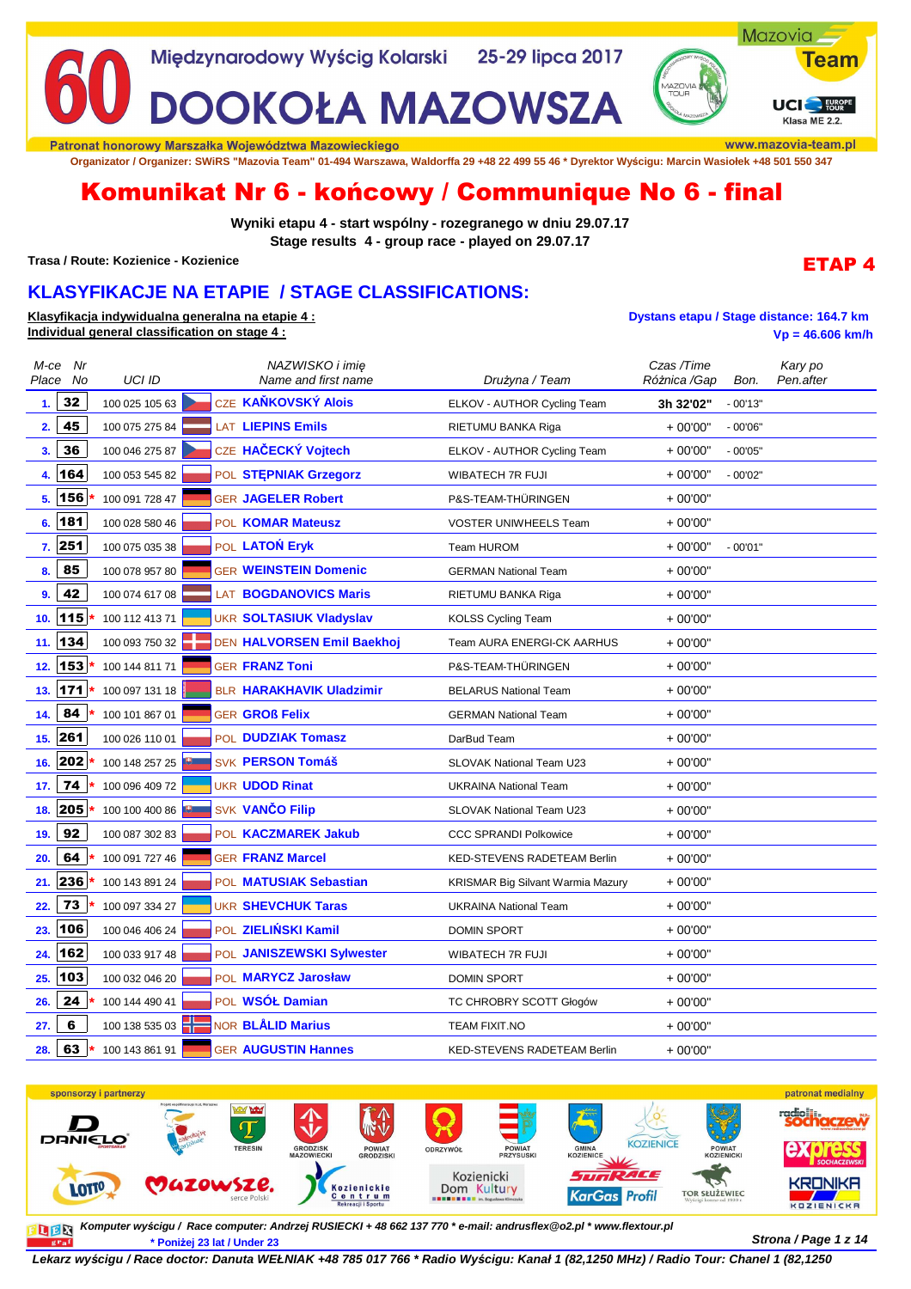

Patronat honorowy Marszałka Województwa Mazowieckiego

**Organizator / Organizer: SWiRS "Mazovia Team" 01-494 Warszawa, Waldorffa 29 +48 22 499 55 46 \* Dyrektor Wyścigu: Marcin Wasiołek +48 501 550 347**

# Komunikat Nr 6 - końcowy / Communique No 6 - final

**Wyniki etapu 4 - start wspólny - rozegranego w dniu 29.07.17 Stage results 4 - group race - played on 29.07.17**

**Trasa / Route: Kozienice - Kozienice**

## **KLASYFIKACJE NA ETAPIE / STAGE CLASSIFICATIONS:**

**Klasyfikacja indywidualna generalna na etapie 4 : Dystans etapu / Stage distance: 164.7 km Individual general classification on stage 4 : Vp = 46.606 km/h**

| M-ce<br>Place | Nr<br>No | <b>UCI ID</b>       | NAZWISKO i imie<br>Name and first name | Drużyna / Team                           | Czas /Time<br>Różnica /Gap | Bon.      | Kary po<br>Pen.after |
|---------------|----------|---------------------|----------------------------------------|------------------------------------------|----------------------------|-----------|----------------------|
| 1.            | 32       | 100 025 105 63      | CZE KAŇKOVSKÝ Alois                    | ELKOV - AUTHOR Cycling Team              | 3h 32'02"                  | $-00'13"$ |                      |
| 2.            | 45       | 100 075 275 84      | LAT LIEPINS Emils                      | RIETUMU BANKA Riga                       | $+00'00"$                  | $-00'06"$ |                      |
| 3.            | 36       | 100 046 275 87      | CZE HAČECKÝ Vojtech                    | ELKOV - AUTHOR Cycling Team              | $+00'00"$                  | $-00'05"$ |                      |
| 4.            | 164      | 100 053 545 82      | POL STEPNIAK Grzegorz                  | <b>WIBATECH 7R FUJI</b>                  | $+00'00"$                  | $-00'02"$ |                      |
| 5.            | 156      | 100 091 728 47      | <b>GER JAGELER Robert</b>              | P&S-TEAM-THÜRINGEN                       | $+00'00"$                  |           |                      |
| 6.            | 181      | 100 028 580 46      | POL KOMAR Mateusz                      | <b>VOSTER UNIWHEELS Team</b>             | $+00'00"$                  |           |                      |
| 7.            | 251      | 100 075 035 38      | POL LATON Eryk                         | Team HUROM                               | $+00'00"$                  | $-00'01"$ |                      |
| 8.            | 85       | 100 078 957 80      | <b>GER WEINSTEIN Domenic</b>           | <b>GERMAN National Team</b>              | $+00'00"$                  |           |                      |
| 9.            | 42       | 100 074 617 08      | <b>LAT BOGDANOVICS Maris</b>           | RIETUMU BANKA Riga                       | $+00'00"$                  |           |                      |
| 10.           | 115      | 100 112 413 71      | <b>UKR SOLTASIUK Vladyslav</b>         | <b>KOLSS Cycling Team</b>                | $+00'00"$                  |           |                      |
| 11.           | 134      | 100 093 750 32      | DEN HALVORSEN Emil Baekhoj             | Team AURA ENERGI-CK AARHUS               | $+00'00"$                  |           |                      |
| 12.           | 153      | 100 144 811 71      | <b>GER FRANZ Toni</b>                  | P&S-TEAM-THÜRINGEN                       | $+00'00"$                  |           |                      |
| 13.           | 171      | 100 097 131 18      | BLR HARAKHAVIK Uladzimir               | <b>BELARUS National Team</b>             | $+00'00"$                  |           |                      |
| 14.           | 84       | 100 101 867 01      | <b>GER GROß Felix</b>                  | <b>GERMAN National Team</b>              | $+00'00"$                  |           |                      |
| 15.           | 261      | 100 026 110 01      | POL <b>DUDZIAK Tomasz</b>              | DarBud Team                              | $+00'00"$                  |           |                      |
| 16.           | 202      | 100 148 257 25      | <b>SVK PERSON Tomáš</b>                | SLOVAK National Team U23                 | $+00'00"$                  |           |                      |
| 17.           | 74       | 100 096 409 72      | <b>UKR UDOD Rinat</b>                  | <b>UKRAINA National Team</b>             | $+00'00"$                  |           |                      |
| 18.           | 205      | 100 100 400 86      | SVK VANČO Filip                        | <b>SLOVAK National Team U23</b>          | $+00'00"$                  |           |                      |
| 19.           | 92       | 100 087 302 83      | POL KACZMAREK Jakub                    | <b>CCC SPRANDI Polkowice</b>             | $+00'00"$                  |           |                      |
| 20.           | 64       | 100 091 727 46      | <b>GER FRANZ Marcel</b>                | <b>KED-STEVENS RADETEAM Berlin</b>       | $+00'00"$                  |           |                      |
| 21.           | 236      | 100 143 891 24      | POL MATUSIAK Sebastian                 | <b>KRISMAR Big Silvant Warmia Mazury</b> | $+00'00"$                  |           |                      |
| 22.           | 73       | 100 097 334 27      | <b>UKR SHEVCHUK Taras</b>              | <b>UKRAINA National Team</b>             | $+00'00"$                  |           |                      |
| 23.           | 106      | 100 046 406 24      | POL ZIELIŃSKI Kamil                    | <b>DOMIN SPORT</b>                       | $+00'00"$                  |           |                      |
| 24.           | 162      | 100 033 917 48      | POL JANISZEWSKI Sylwester              | <b>WIBATECH 7R FUJI</b>                  | $+00'00"$                  |           |                      |
| 25.           | 103      | 100 032 046 20      | POL MARYCZ Jarosław                    | <b>DOMIN SPORT</b>                       | $+00'00"$                  |           |                      |
| 26.           | 24       | 100 144 490 41      | POL WSÓŁ Damian                        | TC CHROBRY SCOTT Głogów                  | $+00'00"$                  |           |                      |
| 27.           | 6        | 100 138 535 03      | <b>NOR BLÅLID Marius</b>               | <b>TEAM FIXIT.NO</b>                     | $+00'00"$                  |           |                      |
| 28            | 63       | *<br>100 143 861 91 | <b>GER AUGUSTIN Hannes</b>             | <b>KED-STEVENS RADETEAM Berlin</b>       | $+00'00"$                  |           |                      |



**Strona / Page 1 z 14 \* Poniżej 23 lat / Under 23 Komputer wyścigu / Race computer: Andrzej RUSIECKI + 48 662 137 770 \* e-mail: andrusflex@o2.pl \* www.flextour.pl** 

**Lekarz wy***ś***cigu / Race doctor: Danuta WEŁNIAK +48 785 017 766 \* Radio Wy***ś***cigu: Kanał 1 (82,1250 MHz) / Radio Tour: Chanel 1 (82,1250** 

ETAP 4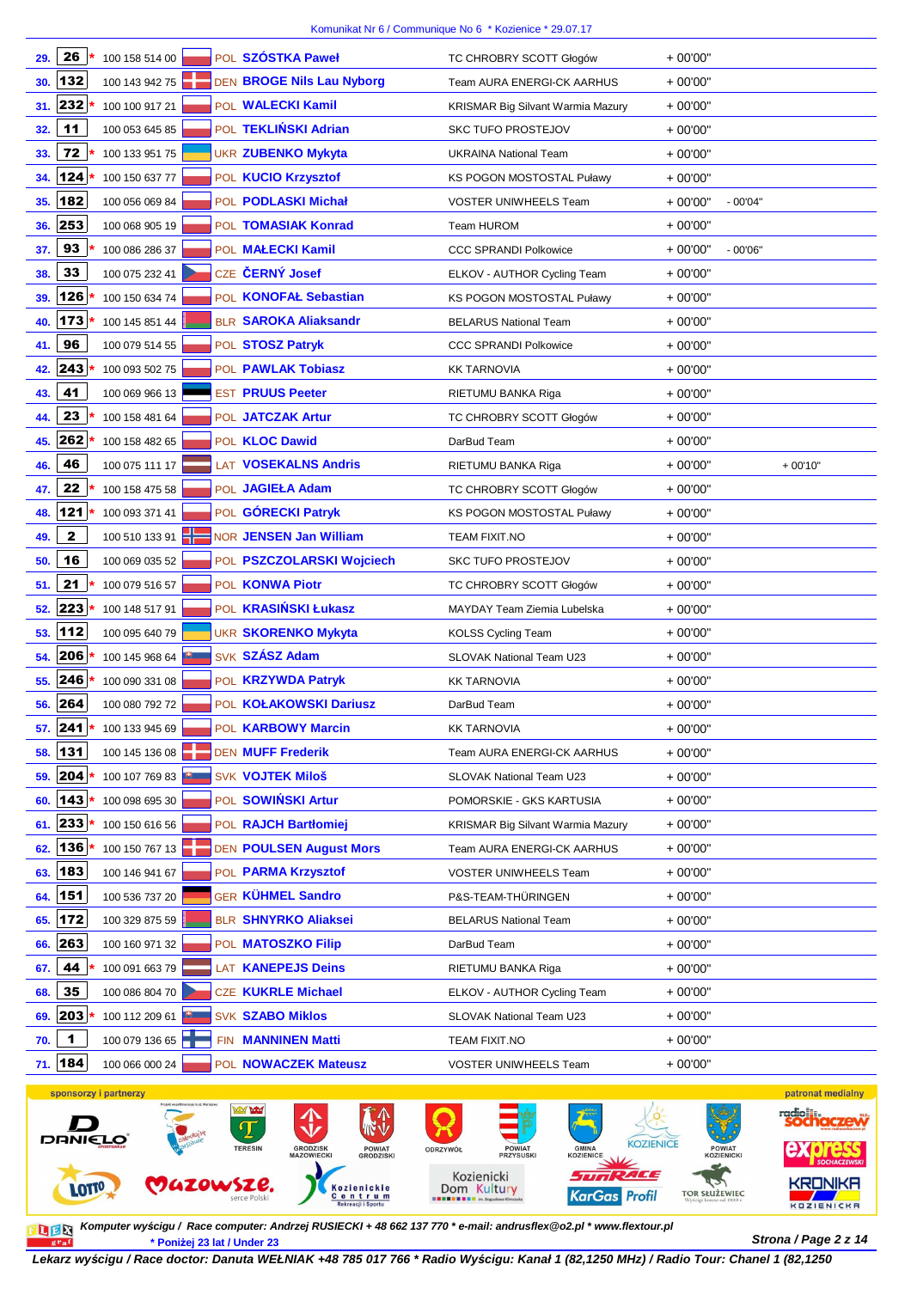| POL SZÓSTKA Paweł<br>26<br>100 158 514 00<br>29.                | TC CHROBRY SCOTT Głogów                  | $+00'00"$              |
|-----------------------------------------------------------------|------------------------------------------|------------------------|
| 132<br>DEN BROGE Nils Lau Nyborg<br>100 143 942 75<br>30.       | <b>Team AURA ENERGI-CK AARHUS</b>        | $+00'00"$              |
| 232<br>POL WALECKI Kamil<br>100 100 917 21<br>31.               | <b>KRISMAR Big Silvant Warmia Mazury</b> | $+00'00"$              |
| 11<br>POL TEKLIŃSKI Adrian<br>100 053 645 85<br>32.             | <b>SKC TUFO PROSTEJOV</b>                | $+00'00"$              |
| 72<br>100 133 951 75<br><b>UKR ZUBENKO Mykyta</b><br>33.        | <b>UKRAINA National Team</b>             | $+00'00"$              |
| 124<br>POL KUCIO Krzysztof<br>100 150 637 77<br>34.             | KS POGON MOSTOSTAL Puławy                | $+00'00"$              |
| 182<br>POL PODLASKI Michał<br>35.<br>100 056 069 84             | <b>VOSTER UNIWHEELS Team</b>             | $+00'00"$<br>$-00'04"$ |
| 253<br>POL TOMASIAK Konrad<br>100 068 905 19<br>36.             | Team HUROM                               | $+00'00"$              |
| 93<br>POL MAŁECKI Kamil<br>100 086 286 37<br>37.                | <b>CCC SPRANDI Polkowice</b>             | $+00'00"$<br>$-00'06"$ |
| 33<br>CZE ČERNÝ Josef<br>100 075 232 41<br>38.                  | ELKOV - AUTHOR Cycling Team              | $+00'00"$              |
| 126<br>POL KONOFAŁ Sebastian<br>100 150 634 74<br>39.           | KS POGON MOSTOSTAL Puławy                | $+00'00"$              |
| 173<br><b>BLR SAROKA Aliaksandr</b><br>100 145 851 44<br>40.    | <b>BELARUS National Team</b>             | $+00'00"$              |
| 96<br>100 079 514 55<br>POL STOSZ Patryk<br>41.                 | <b>CCC SPRANDI Polkowice</b>             | $+00'00"$              |
| 243<br>100 093 502 75<br>POL PAWLAK Tobiasz<br>42.              | <b>KK TARNOVIA</b>                       | $+00'00"$              |
| 41<br><b>EST PRUUS Peeter</b><br>100 069 966 13<br>43.          | RIETUMU BANKA Riga                       | $+00'00"$              |
| 23<br>100 158 481 64<br>POL JATCZAK Artur<br>44.                | TC CHROBRY SCOTT Głogów                  | $+00'00"$              |
| 262<br>100 158 482 65<br>POL <b>KLOC Dawid</b><br>45.           | DarBud Team                              | $+00'00"$              |
| 46<br>LAT VOSEKALNS Andris<br>100 075 111 17<br>46.             | RIETUMU BANKA Riga                       | $+00'00"$<br>$+00'10"$ |
| 22<br>POL JAGIEŁA Adam<br>100 158 475 58<br>47.                 | TC CHROBRY SCOTT Głogów                  | $+00'00"$              |
| 121<br>POL GÓRECKI Patryk<br>100 093 371 41<br>48.              | KS POGON MOSTOSTAL Puławy                | $+00'00"$              |
| 100 510 133 91<br>$\mathbf{2}$<br>NOR JENSEN Jan William<br>49. | <b>TEAM FIXIT.NO</b>                     | $+00'00"$              |
| 16<br>100 069 035 52<br>POL PSZCZOLARSKI Wojciech<br>50.        | <b>SKC TUFO PROSTEJOV</b>                | $+00'00"$              |
| 21<br>100 079 516 57<br>POL KONWA Piotr<br>51.                  | TC CHROBRY SCOTT Głogów                  | $+00'00"$              |
| 223<br>POL KRASIŃSKI Łukasz<br>100 148 517 91<br>52.            | MAYDAY Team Ziemia Lubelska              | $+00'00"$              |
| 112<br><b>UKR SKORENKO Mykyta</b><br>100 095 640 79<br>53.      | <b>KOLSS Cycling Team</b>                | $+00'00"$              |
| SVK SZÁSZ Adam<br>206<br>100 145 968 64<br>54.                  | SLOVAK National Team U23                 | $+00'00"$              |
| 246<br>POL KRZYWDA Patryk<br>100 090 331 08<br>55.              | <b>KK TARNOVIA</b>                       | $+00'00"$              |
| 264<br>100 080 792 72<br>POL KOŁAKOWSKI Dariusz<br>56.          | DarBud Team                              | $+00'00"$              |
| POL KARBOWY Marcin<br>57.  241 <br>100 133 945 69               | <b>KK TARNOVIA</b>                       | $+00'00"$              |
| 131<br><b>DEN MUFF Frederik</b><br>100 145 136 08<br>58.        | Team AURA ENERGI-CK AARHUS               | $+00'00"$              |
| 204<br><b>SVK VOJTEK Miloš</b><br>100 107 769 83<br>59.         | SLOVAK National Team U23                 | $+00'00"$              |
| POL SOWIŃSKI Artur<br>143<br>100 098 695 30<br>60.              | POMORSKIE - GKS KARTUSIA                 | $+00'00"$              |
| 61. 233<br>POL RAJCH Bartłomiej<br>100 150 616 56               | <b>KRISMAR Big Silvant Warmia Mazury</b> | $+00'00"$              |
| 136<br>100 150 767 13<br><b>DEN POULSEN August Mors</b><br>62.  | Team AURA ENERGI-CK AARHUS               | $+00'00"$              |
| 183<br>POL PARMA Krzysztof<br>100 146 941 67<br>63.             | VOSTER UNIWHEELS Team                    | $+00'00"$              |
| 151<br><b>GER KÜHMEL Sandro</b><br>100 536 737 20<br>64.        | P&S-TEAM-THÜRINGEN                       | $+00'00"$              |
| 172<br>100 329 875 59<br><b>BLR SHNYRKO Aliaksei</b><br>65.     | <b>BELARUS National Team</b>             | $+00'00"$              |
| 263<br>100 160 971 32<br>POL <b>MATOSZKO Filip</b><br>66.       | DarBud Team                              | $+00'00"$              |
| 44<br>100 091 663 79<br>LAT KANEPEJS Deins<br>67.               | RIETUMU BANKA Riga                       | $+00'00"$              |
| 35<br>100 086 804 70<br><b>CZE KUKRLE Michael</b><br>68.        | ELKOV - AUTHOR Cycling Team              | $+00'00"$              |
| 203<br>100 112 209 61<br><b>SVK SZABO Miklos</b><br>69.         | SLOVAK National Team U23                 | $+00'00"$              |
| 1<br>100 079 136 65<br>FIN <b>MANNINEN Matti</b><br>70.         | TEAM FIXIT.NO                            | $+00'00"$              |
| 71. 184<br>POL NOWACZEK Mateusz<br>100 066 000 24               | VOSTER UNIWHEELS Team                    | $+00'00"$              |
|                                                                 |                                          |                        |



**Strona / Page 2 z 14 \* Poniżej 23 lat / Under 23 Komputer wy***ś***cigu / Race computer: Andrzej RUSIECKI + 48 662 137 770 \* e-mail: andrusflex@o2.pl \* www.flextour.pl**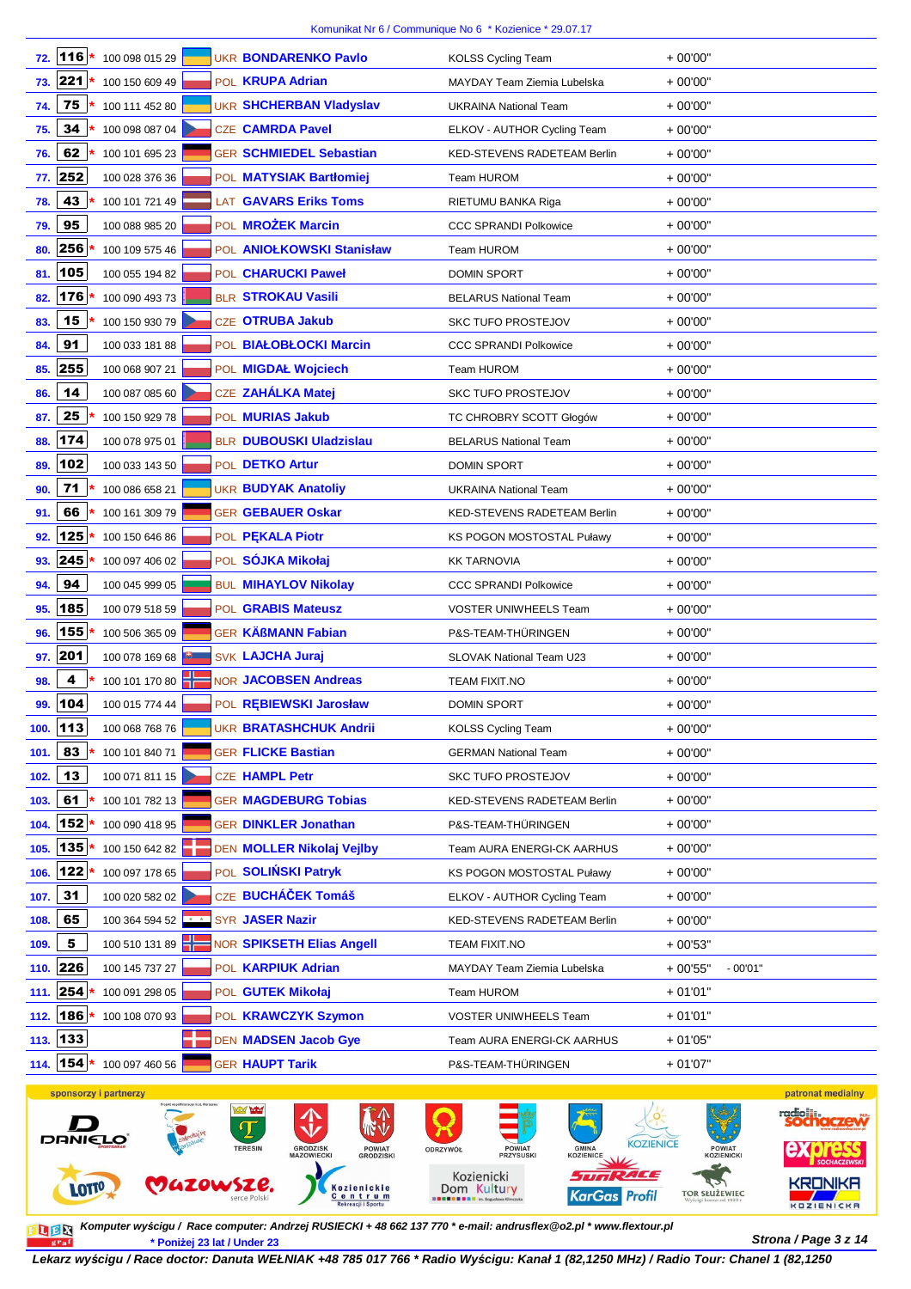| 72.  | 116           | 100 098 015 29    |  | <b>UKR BONDARENKO Pavlo</b>    | <b>KOLSS Cycling Team</b>          | $+00'00"$ |           |
|------|---------------|-------------------|--|--------------------------------|------------------------------------|-----------|-----------|
|      | 73. 221 *     | 100 150 609 49    |  | POL <b>KRUPA Adrian</b>        | MAYDAY Team Ziemia Lubelska        | $+00'00"$ |           |
| 74.  | 75            | 100 111 452 80    |  | <b>UKR SHCHERBAN Vladyslav</b> | <b>UKRAINA National Team</b>       | $+00'00"$ |           |
| 75.  | 34            | 100 098 087 04    |  | <b>CZE CAMRDA Pavel</b>        | ELKOV - AUTHOR Cycling Team        | $+00'00"$ |           |
| 76.  | 62            | 100 101 695 23    |  | <b>GER SCHMIEDEL Sebastian</b> | <b>KED-STEVENS RADETEAM Berlin</b> | $+00'00"$ |           |
| 77.  | 252           | 100 028 376 36    |  | POL MATYSIAK Bartłomiej        | Team HUROM                         | $+00'00"$ |           |
| 78.  | 43            | 100 101 721 49    |  | <b>LAT GAVARS Eriks Toms</b>   | RIETUMU BANKA Riga                 | $+00'00"$ |           |
| 79.  | 95            | 100 088 985 20    |  | POL <b>MROŻEK Marcin</b>       | <b>CCC SPRANDI Polkowice</b>       | $+00'00"$ |           |
| 80.  | 256           | 100 109 575 46    |  | POL ANIOŁKOWSKI Stanisław      | Team HUROM                         | $+00'00"$ |           |
| 81.  | 105           | 100 055 194 82    |  | POL CHARUCKI Paweł             | <b>DOMIN SPORT</b>                 | $+00'00"$ |           |
| 82.  | 176           | 100 090 493 73    |  | <b>BLR STROKAU Vasili</b>      | <b>BELARUS National Team</b>       | $+00'00"$ |           |
| 83.  | 15            | 100 150 930 79    |  | <b>CZE OTRUBA Jakub</b>        | <b>SKC TUFO PROSTEJOV</b>          | $+00'00"$ |           |
| 84.  | 91            | 100 033 181 88    |  | POL BIAŁOBŁOCKI Marcin         | <b>CCC SPRANDI Polkowice</b>       | $+00'00"$ |           |
| 85.  | 255           | 100 068 907 21    |  | POL MIGDAŁ Wojciech            | Team HUROM                         | $+00'00"$ |           |
| 86.  | 14            | 100 087 085 60    |  | CZE ZAHÁLKA Matej              | <b>SKC TUFO PROSTEJOV</b>          | $+00'00"$ |           |
| 87.  | 25            | 100 150 929 78    |  | POL MURIAS Jakub               | TC CHROBRY SCOTT Głogów            | $+00'00"$ |           |
| 88.  | 174           | 100 078 975 01    |  | <b>BLR DUBOUSKI Uladzislau</b> | <b>BELARUS National Team</b>       | $+00'00"$ |           |
| 89.  | 102           | 100 033 143 50    |  | POL DETKO Artur                | <b>DOMIN SPORT</b>                 | $+00'00"$ |           |
| 90.  | $\mathbf{71}$ | 100 086 658 21    |  | <b>UKR BUDYAK Anatoliy</b>     | <b>UKRAINA National Team</b>       | $+00'00"$ |           |
| 91.  | 66            | 100 161 309 79    |  | <b>GER GEBAUER Oskar</b>       | <b>KED-STEVENS RADETEAM Berlin</b> | $+00'00"$ |           |
| 92.  | 125           | 100 150 646 86    |  | POL PEKALA Piotr               | KS POGON MOSTOSTAL Puławy          | $+00'00"$ |           |
| 93.  | 245           | 100 097 406 02    |  | POL SÓJKA Mikołaj              | <b>KK TARNOVIA</b>                 | $+00'00"$ |           |
| 94.  | 94            | 100 045 999 05    |  | <b>BUL MIHAYLOV Nikolay</b>    | <b>CCC SPRANDI Polkowice</b>       | $+00'00"$ |           |
| 95.  | 185           | 100 079 518 59    |  | POL GRABIS Mateusz             | <b>VOSTER UNIWHEELS Team</b>       | $+00'00"$ |           |
| 96.  | 155           | 100 506 365 09    |  | <b>GER KÄßMANN Fabian</b>      | P&S-TEAM-THÜRINGEN                 | $+00'00"$ |           |
| 97.  | 201           | 100 078 169 68    |  | SVK LAJCHA Juraj               | <b>SLOVAK National Team U23</b>    | $+00'00"$ |           |
| 98.  | 4             | 100 101 170 80    |  | <b>NOR JACOBSEN Andreas</b>    | <b>TEAM FIXIT.NO</b>               | $+00'00"$ |           |
| 99.  | 104           | 100 015 774 44    |  | POL REBIEWSKI Jarosław         | <b>DOMIN SPORT</b>                 | $+00'00"$ |           |
|      | $100.$ 113    | 100 068 768 76    |  | <b>UKR BRATASHCHUK Andrii</b>  | KOLSS Cycling Team                 | $+00'00"$ |           |
| 101. | 83            | 100 101 840 71    |  | <b>GER FLICKE Bastian</b>      | <b>GERMAN National Team</b>        | $+00'00"$ |           |
| 102. | 13            | 100 071 811 15    |  | CZE HAMPL Petr                 | <b>SKC TUFO PROSTEJOV</b>          | $+00'00"$ |           |
| 103. | 61            | 100 101 782 13    |  | <b>GER MAGDEBURG Tobias</b>    | <b>KED-STEVENS RADETEAM Berlin</b> | $+00'00"$ |           |
| 104. | 152           | 100 090 418 95    |  | <b>GER DINKLER Jonathan</b>    | P&S-TEAM-THÜRINGEN                 | $+00'00"$ |           |
| 105. | 135           | 100 150 642 82    |  | DEN MOLLER Nikolaj Vejlby      | Team AURA ENERGI-CK AARHUS         | $+00'00"$ |           |
| 106. | 122           | 100 097 178 65    |  | POL SOLIŃSKI Patryk            | <b>KS POGON MOSTOSTAL Puławy</b>   | $+00'00"$ |           |
| 107. | 31            | 100 020 582 02    |  | CZE BUCHÁČEK Tomáš             | ELKOV - AUTHOR Cycling Team        | $+00'00"$ |           |
| 108. | 65            | 100 364 594 52 ** |  | SYR JASER Nazir                | KED-STEVENS RADETEAM Berlin        | $+00'00"$ |           |
| 109. | 5             | 100 510 131 89    |  | NOR SPIKSETH Elias Angell      | TEAM FIXIT.NO                      | $+00'53"$ |           |
| 110. | 226           | 100 145 737 27    |  | POL KARPIUK Adrian             | MAYDAY Team Ziemia Lubelska        | $+00'55"$ | $-00'01"$ |
| 111. | 254           | 100 091 298 05    |  | POL GUTEK Mikołaj              | Team HUROM                         | $+01'01"$ |           |
| 112. | 186           | 100 108 070 93    |  | POL KRAWCZYK Szymon            | <b>VOSTER UNIWHEELS Team</b>       | $+01'01"$ |           |
| 113. | 133           |                   |  | DEN MADSEN Jacob Gye           | Team AURA ENERGI-CK AARHUS         | $+01'05"$ |           |
|      | 114. 154      | 100 097 460 56    |  | <b>GER HAUPT Tarik</b>         | P&S-TEAM-THÜRINGEN                 | $+01'07"$ |           |



**Strona / Page 3 z 14 \* Poniżej 23 lat / Under 23 Komputer wy***ś***cigu / Race computer: Andrzej RUSIECKI + 48 662 137 770 \* e-mail: andrusflex@o2.pl \* www.flextour.pl**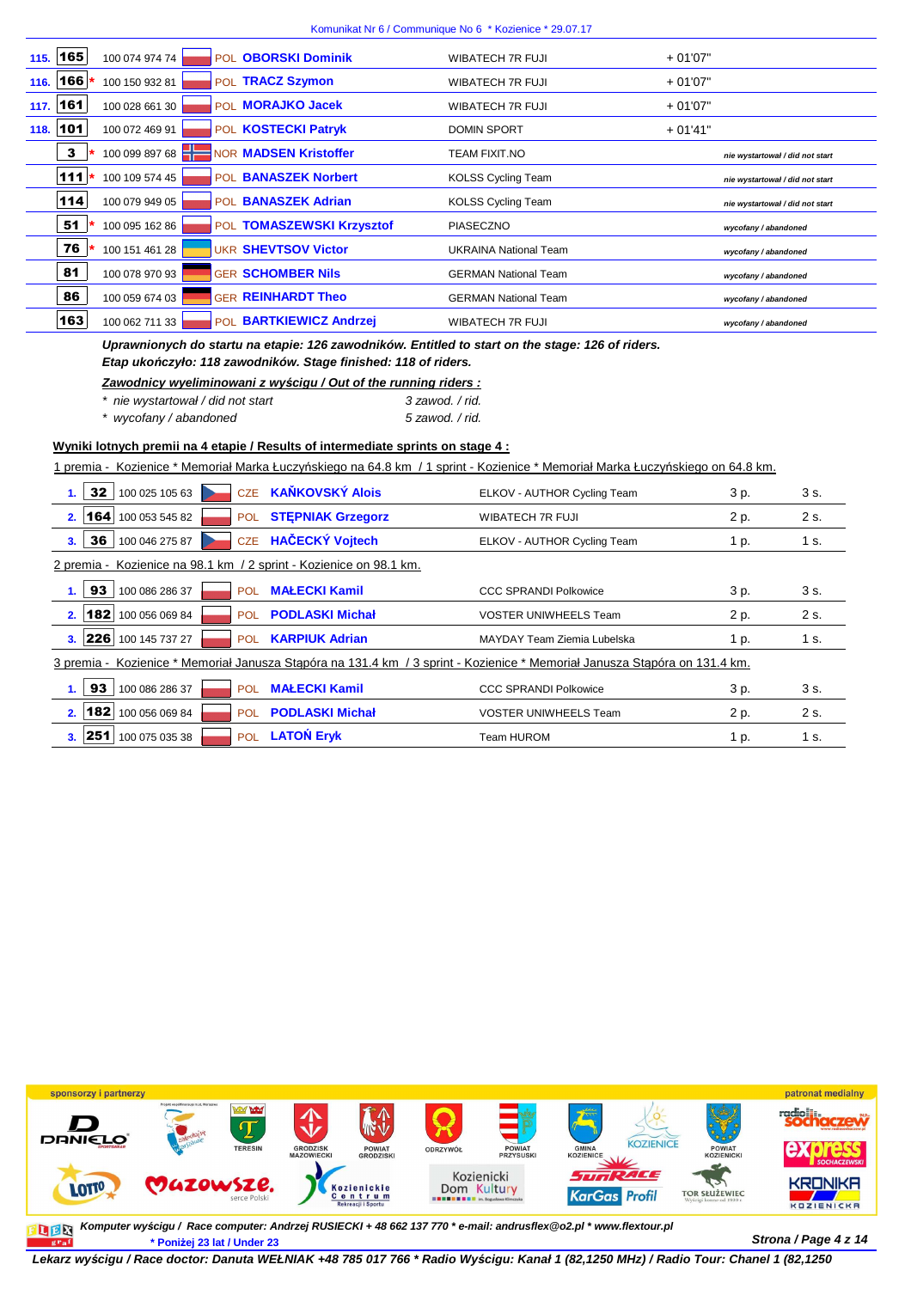| 115. 165   | 100 074 974 74 | POL <b>OBORSKI Dominik</b>   | WIBATECH 7R FUJI             | $+01'07"$                       |
|------------|----------------|------------------------------|------------------------------|---------------------------------|
| 116. 166   | 100 150 932 81 | POL TRACZ Szymon             | WIBATECH 7R FUJI             | $+01'07"$                       |
| $117.$ 161 | 100 028 661 30 | POL <b>MORAJKO Jacek</b>     | WIBATECH 7R FUJI             | $+01'07"$                       |
| 118. 101   | 100 072 469 91 | POL KOSTECKI Patryk          | <b>DOMIN SPORT</b>           | $+01'41"$                       |
| 3          | 100 099 897 68 | <b>NOR MADSEN Kristoffer</b> | <b>TEAM FIXIT.NO</b>         | nie wystartował / did not start |
| 111        | 100 109 574 45 | POL BANASZEK Norbert         | <b>KOLSS Cycling Team</b>    | nie wystartował / did not start |
| 114        | 100 079 949 05 | POL BANASZEK Adrian          | <b>KOLSS Cycling Team</b>    | nie wystartował / did not start |
| 51         | 100 095 162 86 | POL TOMASZEWSKI Krzysztof    | <b>PIASECZNO</b>             | wycofany / abandoned            |
| 76         | 100 151 461 28 | <b>UKR SHEVTSOV Victor</b>   | <b>UKRAINA National Team</b> | wycofany / abandoned            |
| 81         | 100 078 970 93 | <b>GER SCHOMBER Nils</b>     | <b>GERMAN National Team</b>  | wycofany / abandoned            |
| 86         | 100 059 674 03 | <b>GER REINHARDT Theo</b>    | <b>GERMAN National Team</b>  | wycofany / abandoned            |
| 163        | 100 062 711 33 | POL BARTKIEWICZ Andrzei      | WIBATECH 7R FUJI             | wycofany / abandoned            |

**Uprawnionych do startu na etapie: 126 zawodników. Entitled to start on the stage: 126 of riders. Etap uko***ń***czyło: 118 zawodników. Stage finished: 118 of riders.**

| Zawodnicy wyeliminowani z wyścigu / Out of the running riders : |                 |
|-----------------------------------------------------------------|-----------------|
| * nie wystartował / did not start                               | 3 zawod. / rid. |
| * wycofany / abandoned                                          | 5 zawod. / rid. |

**Wyniki lotnych premii na 4 etapie / Results of intermediate sprints on stage 4 :**

1 premia - Kozienice \* Memoriał Marka Łuczyńskiego na 64.8 km / 1 sprint - Kozienice \* Memoriał Marka Łuczyńskiego on 64.8 km.

| 1. | 32                                                                 | 100 025 105 63 | <b>CZE</b> | <b>KAŇKOVSKÝ Alois</b>   | ELKOV - AUTHOR Cycling Team                                                                                                | 3 p. | 3 s. |  |  |  |
|----|--------------------------------------------------------------------|----------------|------------|--------------------------|----------------------------------------------------------------------------------------------------------------------------|------|------|--|--|--|
| 2. | 164                                                                | 100 053 545 82 | <b>POL</b> | <b>STEPNIAK Grzegorz</b> | WIBATECH 7R FUJI                                                                                                           | 2 p. | 2 s. |  |  |  |
| 3. | 36                                                                 | 100 046 275 87 | <b>CZE</b> | <b>HAČECKÝ Vojtech</b>   | ELKOV - AUTHOR Cycling Team                                                                                                | 1 p. | 1 s. |  |  |  |
|    | 2 premia - Kozienice na 98.1 km / 2 sprint - Kozienice on 98.1 km. |                |            |                          |                                                                                                                            |      |      |  |  |  |
| 1. | 93                                                                 | 100 086 286 37 | <b>POL</b> | <b>MAŁECKI Kamil</b>     | <b>CCC SPRANDI Polkowice</b>                                                                                               | 3 p. | 3 s. |  |  |  |
| 2. | 182                                                                | 100 056 069 84 | POL.       | <b>PODLASKI Michał</b>   | <b>VOSTER UNIWHEELS Team</b>                                                                                               | 2 p. | 2 s. |  |  |  |
|    | 3.  226                                                            | 100 145 737 27 | <b>POL</b> | <b>KARPIUK Adrian</b>    | MAYDAY Team Ziemia Lubelska                                                                                                | 1 p. | 1 s. |  |  |  |
|    |                                                                    |                |            |                          | 3 premia - Kozienice * Memoriał Janusza Stąpóra na 131.4 km / 3 sprint - Kozienice * Memoriał Janusza Stąpóra on 131.4 km. |      |      |  |  |  |
| 1. | 93                                                                 | 100 086 286 37 | <b>POL</b> | <b>MAŁECKI Kamil</b>     | <b>CCC SPRANDI Polkowice</b>                                                                                               | 3 p. | 3 s. |  |  |  |
| 2. | 182                                                                | 100 056 069 84 | <b>POL</b> | <b>PODLASKI Michał</b>   | <b>VOSTER UNIWHEELS Team</b>                                                                                               | 2 p. | 2 s. |  |  |  |
|    | 3.  251                                                            | 100 075 035 38 | <b>POL</b> | <b>LATON Eryk</b>        | Team HUROM                                                                                                                 | 1 p. | 1 s. |  |  |  |



**Komputer wy***ś***cigu / Race computer: Andrzej RUSIECKI + 48 662 137 770 \* e-mail: andrusflex@o2.pl \* www.flextour.plStrona / Page 4 z 14 \* Poniżej 23 lat / Under 23**  $gr_a$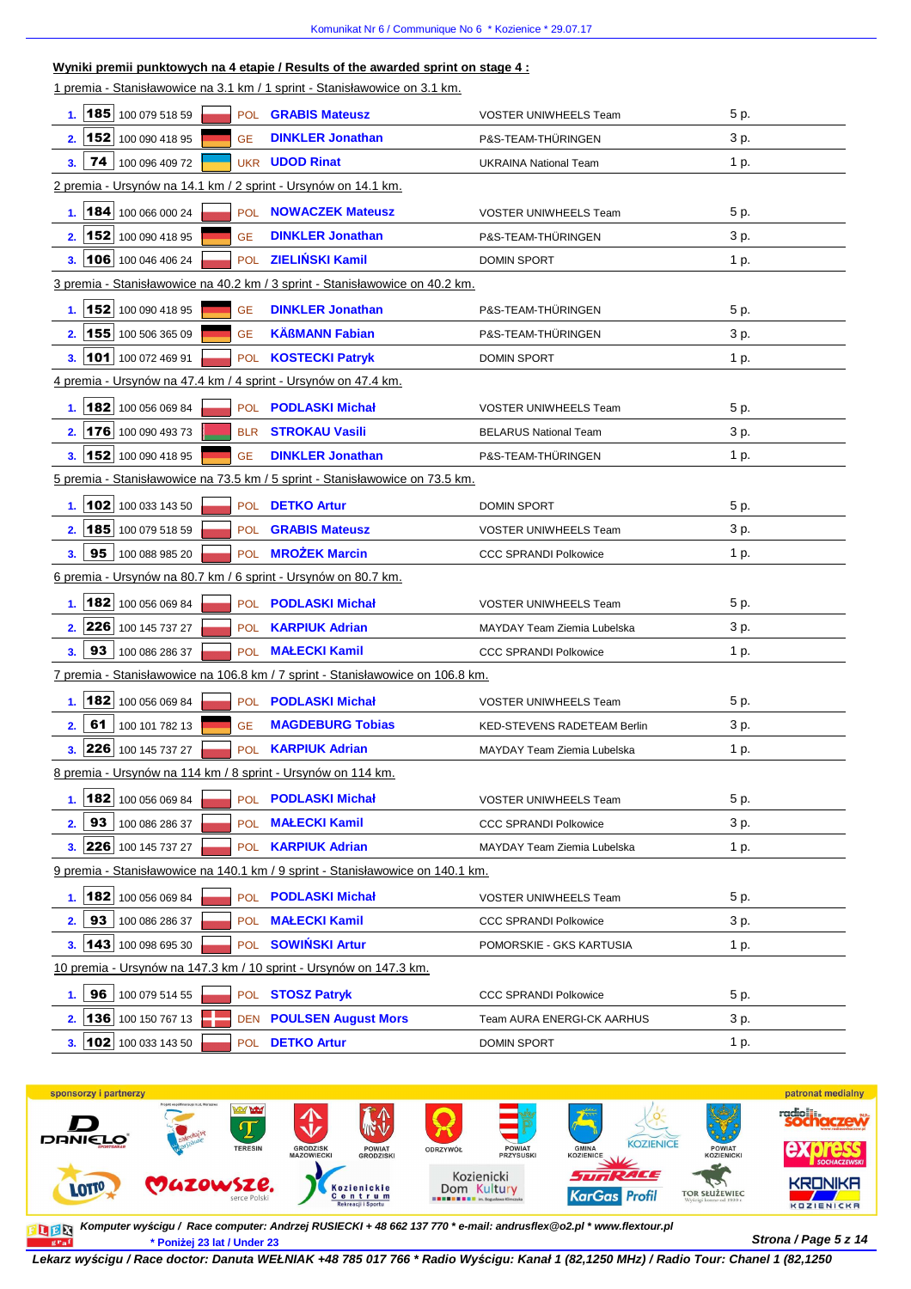| Wyniki premii punktowych na 4 etapie / Results of the awarded sprint on stage $4:$ |                                                                            |                              |      |  |  |  |  |  |  |
|------------------------------------------------------------------------------------|----------------------------------------------------------------------------|------------------------------|------|--|--|--|--|--|--|
|                                                                                    | 1 premia - Stanisławowice na 3.1 km / 1 sprint - Stanisławowice on 3.1 km. |                              |      |  |  |  |  |  |  |
| 185 100 079 518 59<br>1.                                                           | POL <b>GRABIS Mateusz</b>                                                  | <b>VOSTER UNIWHEELS Team</b> | 5 p. |  |  |  |  |  |  |
| 152 100 090 418 95<br>2.<br><b>GE</b>                                              | <b>DINKLER Jonathan</b>                                                    | P&S-TEAM-THÜRINGEN           | 3 p. |  |  |  |  |  |  |
| 74 I<br>100 096 409 72<br>3.                                                       | <b>UKR UDOD Rinat</b>                                                      | <b>UKRAINA National Team</b> | 1 p. |  |  |  |  |  |  |
| 2 premia - Ursynów na 14.1 km / 2 sprint - Ursynów on 14.1 km.                     |                                                                            |                              |      |  |  |  |  |  |  |
| $\vert$ 184 100 066 000 24<br>1.                                                   | POL NOWACZEK Mateusz                                                       | <b>VOSTER UNIWHEELS Team</b> | 5 p. |  |  |  |  |  |  |
| 2. 152 100 090 418 95<br><b>GE</b>                                                 | <b>DINKLER Jonathan</b>                                                    | P&S-TEAM-THÜRINGEN           | 3 p. |  |  |  |  |  |  |
| 106 100 046 406 24<br>3.<br><b>POL</b>                                             | <b>ZIELIŃSKI Kamil</b>                                                     | <b>DOMIN SPORT</b>           | 1 p. |  |  |  |  |  |  |
| 3 premia - Stanisławowice na 40.2 km / 3 sprint - Stanisławowice on 40.2 km.       |                                                                            |                              |      |  |  |  |  |  |  |
| 152 100 090 418 95<br><b>GE</b><br>1.                                              | <b>DINKLER Jonathan</b>                                                    | P&S-TEAM-THÜRINGEN           | 5 p. |  |  |  |  |  |  |
| 155 100 506 365 09<br>2.<br><b>GE</b>                                              | <b>KÄßMANN Fabian</b>                                                      | P&S-TEAM-THÜRINGEN           | 3 p. |  |  |  |  |  |  |
| 101 100 072 469 91<br><b>POL</b><br>3.                                             | <b>KOSTECKI Patryk</b>                                                     | DOMIN SPORT                  | 1 p. |  |  |  |  |  |  |
| 4 premia - Ursynów na 47.4 km / 4 sprint - Ursynów on 47.4 km.                     |                                                                            |                              |      |  |  |  |  |  |  |
| 182 100 056 069 84<br>1.                                                           | POL <b>PODLASKI Michał</b>                                                 | <b>VOSTER UNIWHEELS Team</b> | 5 p. |  |  |  |  |  |  |
| 176 100 090 493 73<br>2.<br><b>BLR</b>                                             | <b>STROKAU Vasili</b>                                                      | <b>BELARUS National Team</b> | 3 p. |  |  |  |  |  |  |
| 152 100 090 418 95<br>3.<br><b>GE</b>                                              | <b>DINKLER Jonathan</b>                                                    | P&S-TEAM-THÜRINGEN           | 1 p. |  |  |  |  |  |  |
| 5 premia - Stanisławowice na 73.5 km / 5 sprint - Stanisławowice on 73.5 km.       |                                                                            |                              |      |  |  |  |  |  |  |
| 102 100 033 143 50<br>1.<br><b>POL</b>                                             | <b>DETKO Artur</b>                                                         | <b>DOMIN SPORT</b>           | 5 p. |  |  |  |  |  |  |
| 2. 185 100 079 518 59<br><b>POL</b>                                                | <b>GRABIS Mateusz</b>                                                      | <b>VOSTER UNIWHEELS Team</b> | 3 p. |  |  |  |  |  |  |
| 95<br>100 088 985 20<br>3.                                                         | POL <b>MROŻEK Marcin</b>                                                   | <b>CCC SPRANDI Polkowice</b> | 1 p. |  |  |  |  |  |  |
| 6 premia - Ursynów na 80.7 km / 6 sprint - Ursynów on 80.7 km.                     |                                                                            |                              |      |  |  |  |  |  |  |
| 1. 182 100 056 069 84                                                              | POL <b>PODLASKI Michał</b>                                                 | <b>VOSTER UNIWHEELS Team</b> | 5 p. |  |  |  |  |  |  |
| 2. 226 100 145 737 27                                                              | POL <b>KARPIUK Adrian</b>                                                  | MAYDAY Team Ziemia Lubelska  | 3 p. |  |  |  |  |  |  |
| 93<br>100 086 286 37<br>3.<br>POL.                                                 | <b>MALECKI Kamil</b>                                                       | <b>CCC SPRANDI Polkowice</b> | 1 p. |  |  |  |  |  |  |
| 7 premia - Stanisławowice na 106.8 km / 7 sprint - Stanisławowice on 106.8 km.     |                                                                            |                              |      |  |  |  |  |  |  |
| 182 100 056 069 84<br>1.                                                           | POL PODLASKI Michał                                                        | <b>VOSTER UNIWHEELS Team</b> | 5 p. |  |  |  |  |  |  |
| 61<br>100 101 782 13<br><b>GE</b><br>2.                                            | <b>MAGDEBURG Tobias</b>                                                    | KED-STEVENS RADETEAM Berlin  | 3 p. |  |  |  |  |  |  |
| 3. 226 100 145 737 27                                                              | POL <b>KARPIUK Adrian</b>                                                  | MAYDAY Team Ziemia Lubelska  | 1 p. |  |  |  |  |  |  |
| 8 premia - Ursynów na 114 km / 8 sprint - Ursynów on 114 km.                       |                                                                            |                              |      |  |  |  |  |  |  |
| 1. 182 100 056 069 84                                                              | POL <b>PODLASKI Michał</b>                                                 | <b>VOSTER UNIWHEELS Team</b> | 5 p. |  |  |  |  |  |  |
| 93<br>2.<br>100 086 286 37<br>POL                                                  | <b>MALECKI Kamil</b>                                                       | <b>CCC SPRANDI Polkowice</b> | 3 p. |  |  |  |  |  |  |
| $\vert$ 226   100 145 737 27<br>3.                                                 | POL <b>KARPIUK Adrian</b>                                                  |                              |      |  |  |  |  |  |  |
| 9 premia - Stanisławowice na 140.1 km / 9 sprint - Stanisławowice on 140.1 km.     |                                                                            | MAYDAY Team Ziemia Lubelska  | 1 p. |  |  |  |  |  |  |
|                                                                                    |                                                                            |                              |      |  |  |  |  |  |  |
| 1. 182 100 056 069 84                                                              | POL PODLASKI Michał                                                        | VOSTER UNIWHEELS Team        | 5 p. |  |  |  |  |  |  |
| 93<br>2.<br>100 086 286 37<br>POL.                                                 | <b>MAŁECKI Kamil</b>                                                       | <b>CCC SPRANDI Polkowice</b> | 3 p. |  |  |  |  |  |  |
| $\vert$ 143   100 098 695 30<br>3.                                                 | POL SOWIŃSKI Artur                                                         | POMORSKIE - GKS KARTUSIA     | 1 p. |  |  |  |  |  |  |
| 10 premia - Ursynów na 147.3 km / 10 sprint - Ursynów on 147.3 km.                 |                                                                            |                              |      |  |  |  |  |  |  |
| 96<br>100 079 514 55<br>1.                                                         | POL STOSZ Patryk                                                           | <b>CCC SPRANDI Polkowice</b> | 5 p. |  |  |  |  |  |  |
| 2. <b>136</b> 100 150 767 13<br><b>DEN</b>                                         | <b>POULSEN August Mors</b>                                                 | Team AURA ENERGI-CK AARHUS   | 3 p. |  |  |  |  |  |  |
| 3. 102 100 033 143 50<br><b>POL</b>                                                | <b>DETKO Artur</b>                                                         | DOMIN SPORT                  | 1 p. |  |  |  |  |  |  |



**Strona / Page 5 z 14 \* Poniżej 23 lat / Under 23 Komputer wy***ś***cigu / Race computer: Andrzej RUSIECKI + 48 662 137 770 \* e-mail: andrusflex@o2.pl \* www.flextour.pl**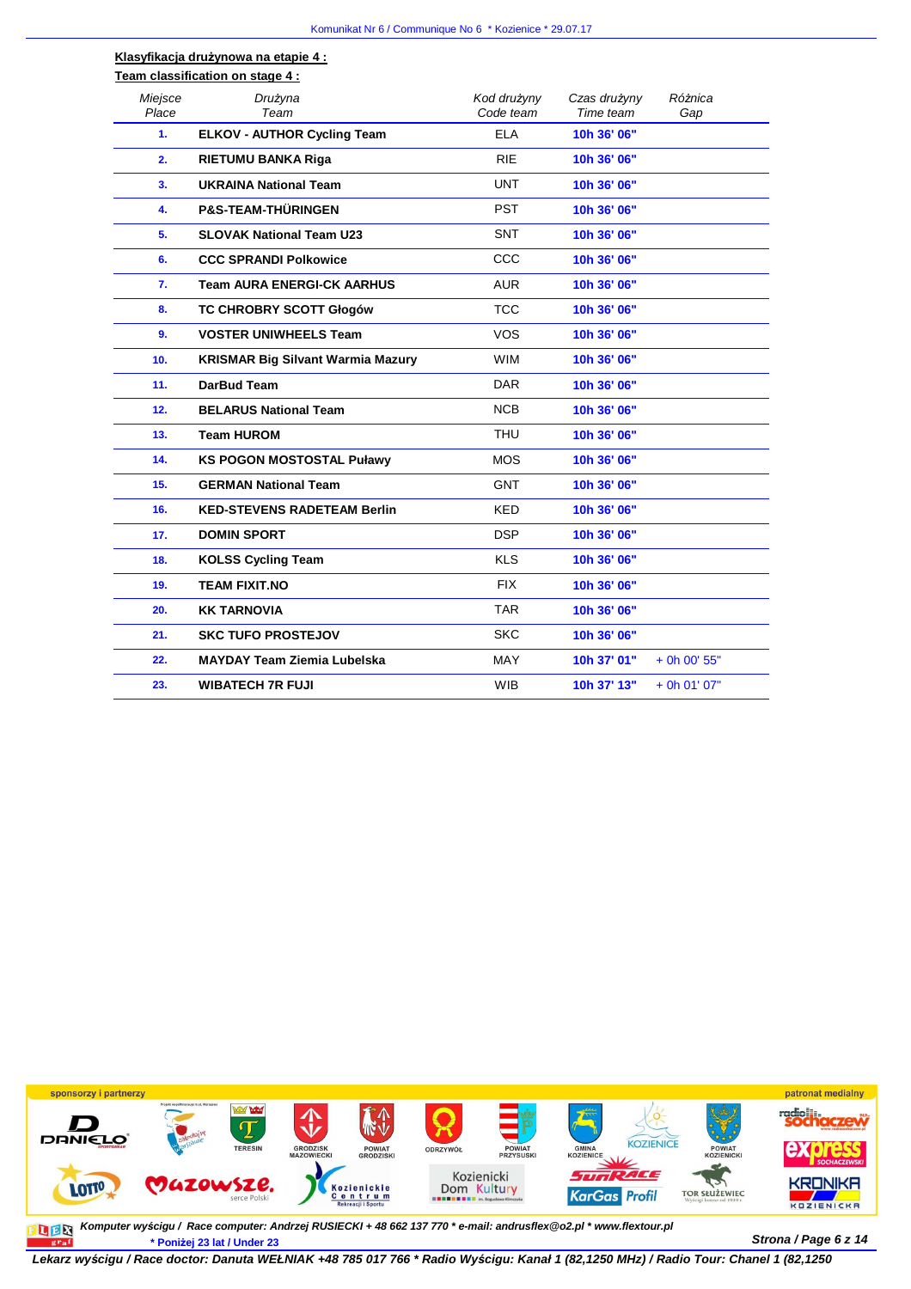## **Klasyfikacja drużynowa na etapie 4 : Team classification on stage 4 :**

| Miejsce<br>Place | Drużyna<br>Team                          | Kod drużyny<br>Code team | Czas drużyny<br>Time team | Różnica<br>Gap |
|------------------|------------------------------------------|--------------------------|---------------------------|----------------|
| 1.               | <b>ELKOV - AUTHOR Cycling Team</b>       | <b>ELA</b>               | 10h 36' 06"               |                |
| 2.               | <b>RIETUMU BANKA Riga</b>                | <b>RIE</b>               | 10h 36' 06"               |                |
| 3.               | <b>UKRAINA National Team</b>             | <b>UNT</b>               | 10h 36' 06"               |                |
| 4.               | <b>P&amp;S-TEAM-THÜRINGEN</b>            | <b>PST</b>               | 10h 36' 06"               |                |
| 5.               | <b>SLOVAK National Team U23</b>          | <b>SNT</b>               | 10h 36' 06"               |                |
| 6.               | <b>CCC SPRANDI Polkowice</b>             | CCC                      | 10h 36' 06"               |                |
| 7.               | <b>Team AURA ENERGI-CK AARHUS</b>        | <b>AUR</b>               | 10h 36' 06"               |                |
| 8.               | <b>TC CHROBRY SCOTT Głogów</b>           | <b>TCC</b>               | 10h 36' 06"               |                |
| 9.               | <b>VOSTER UNIWHEELS Team</b>             | <b>VOS</b>               | 10h 36' 06"               |                |
| 10.              | <b>KRISMAR Big Silvant Warmia Mazury</b> | <b>WIM</b>               | 10h 36' 06"               |                |
| 11.              | DarBud Team                              | <b>DAR</b>               | 10h 36' 06"               |                |
| 12.              | <b>BELARUS National Team</b>             | <b>NCB</b>               | 10h 36' 06"               |                |
| 13.              | <b>Team HUROM</b>                        | <b>THU</b>               | 10h 36' 06"               |                |
| 14.              | <b>KS POGON MOSTOSTAL Puławy</b>         | <b>MOS</b>               | 10h 36' 06"               |                |
| 15.              | <b>GERMAN National Team</b>              | <b>GNT</b>               | 10h 36' 06"               |                |
| 16.              | <b>KED-STEVENS RADETEAM Berlin</b>       | <b>KED</b>               | 10h 36' 06"               |                |
| 17.              | <b>DOMIN SPORT</b>                       | <b>DSP</b>               | 10h 36' 06"               |                |
| 18.              | <b>KOLSS Cycling Team</b>                | <b>KLS</b>               | 10h 36' 06"               |                |
| 19.              | <b>TEAM FIXIT.NO</b>                     | <b>FIX</b>               | 10h 36' 06"               |                |
| 20.              | <b>KK TARNOVIA</b>                       | <b>TAR</b>               | 10h 36' 06"               |                |
| 21.              | <b>SKC TUFO PROSTEJOV</b>                | <b>SKC</b>               | 10h 36' 06"               |                |
| 22.              | <b>MAYDAY Team Ziemia Lubelska</b>       | <b>MAY</b>               | 10h 37' 01"               | + 0h 00' 55"   |
| 23.              | <b>WIBATECH 7R FUJI</b>                  | <b>WIB</b>               | 10h 37' 13"               | + 0h 01' 07"   |
|                  |                                          |                          |                           |                |



**Strona / Page 6 z 14 \* Poniżej 23 lat / Under 23 Komputer wy***ś***cigu / Race computer: Andrzej RUSIECKI + 48 662 137 770 \* e-mail: andrusflex@o2.pl \* www.flextour.pl**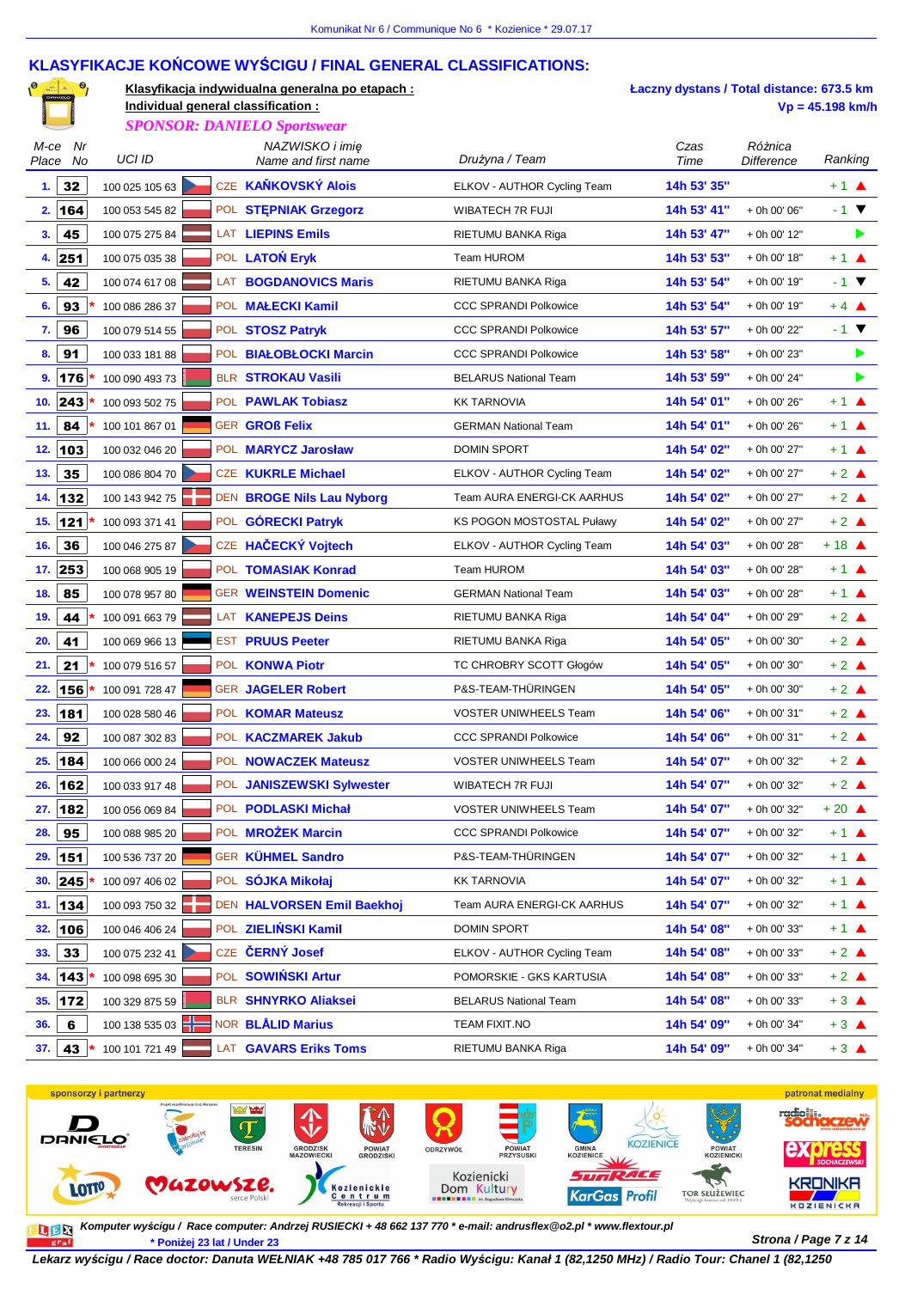## **KLASYFIKACJE KOŃCOWE WYŚCIGU / FINAL GENERAL CLASSIFICATIONS:**

|               | $\begin{bmatrix} 0 & \frac{\sqrt{1-\lambda}}{2} & 0 \end{bmatrix}$ |                                    | Klasyfikacja indywidualna generalna po etapach: |                              | Łaczny dystans / Total distance: 673.5 km |                              |                           |   |
|---------------|--------------------------------------------------------------------|------------------------------------|-------------------------------------------------|------------------------------|-------------------------------------------|------------------------------|---------------------------|---|
|               |                                                                    | Individual general classification: |                                                 |                              |                                           |                              | $Vp = 45.198$ km/h        |   |
|               |                                                                    |                                    | <b>SPONSOR: DANIELO Sportswear</b>              |                              |                                           |                              |                           |   |
| M-ce<br>Place | Nr<br>No                                                           | UCI ID                             | NAZWISKO i imię<br>Name and first name          | Drużyna / Team               | Czas<br>Time                              | Różnica<br><b>Difference</b> | Ranking                   |   |
| 1.            | 32                                                                 | 100 025 105 63                     | CZE KAŇKOVSKÝ Alois                             | ELKOV - AUTHOR Cycling Team  | 14h 53' 35"                               |                              | $+1$ $\triangle$          |   |
| 2.            | 164                                                                | 100 053 545 82                     | POL STEPNIAK Grzegorz                           | WIBATECH 7R FUJI             | 14h 53' 41"                               | + 0h 00' 06"                 | $-1$ $\blacktriangledown$ |   |
| 3.            | 45                                                                 | 100 075 275 84                     | LAT LIEPINS Emils                               | RIETUMU BANKA Riga           | 14h 53' 47"                               | + 0h 00' 12"                 |                           | ▶ |
|               | 4.251                                                              | 100 075 035 38                     | POL LATON Eryk                                  | Team HUROM                   | 14h 53' 53"                               | + 0h 00' 18"                 | $+1$ $\triangle$          |   |
| 5.            | 42                                                                 | 100 074 617 08                     | LAT BOGDANOVICS Maris                           | RIETUMU BANKA Riga           | 14h 53' 54"                               | + 0h 00' 19"                 | $-1$ $\blacktriangledown$ |   |
| 6.            | 93                                                                 | 100 086 286 37                     | POL MALECKI Kamil                               | <b>CCC SPRANDI Polkowice</b> | 14h 53' 54"                               | + 0h 00' 19"                 | $+4$ $\triangle$          |   |
| 7.            | 96                                                                 | 100 079 514 55                     | POL STOSZ Patryk                                | <b>CCC SPRANDI Polkowice</b> | 14h 53' 57"                               | + 0h 00' 22"                 | $-1$ $\blacktriangledown$ |   |
| 8.            | 91                                                                 | 100 033 181 88                     | POL BIAŁOBŁOCKI Marcin                          | <b>CCC SPRANDI Polkowice</b> | 14h 53' 58"                               | + 0h 00' 23"                 |                           |   |
| 9.            | 176                                                                | 100 090 493 73                     | BLR STROKAU Vasili                              | <b>BELARUS National Team</b> | 14h 53' 59"                               | + 0h 00' 24"                 |                           | ▶ |
|               | 10. $ 243 $                                                        | 100 093 502 75                     | POL PAWLAK Tobiasz                              | <b>KK TARNOVIA</b>           | 14h 54' 01"                               | + 0h 00' 26"                 | $+1$ $\triangle$          |   |
| 11.           | 84                                                                 | 100 101 867 01                     | <b>GER GROß Felix</b>                           | <b>GERMAN National Team</b>  | 14h 54' 01"                               | + 0h 00' 26"                 | $+1$ $\triangle$          |   |
| 12.           | 103                                                                | 100 032 046 20                     | POL MARYCZ Jarosław                             | <b>DOMIN SPORT</b>           | 14h 54' 02"                               | + 0h 00' 27"                 | $+1$ $\triangle$          |   |
| 13.           | 35                                                                 | 100 086 804 70                     | CZE KUKRLE Michael                              | ELKOV - AUTHOR Cycling Team  | 14h 54' 02"                               | + 0h 00' 27"                 | $+2$ $\triangle$          |   |
| 14.           | 132                                                                | 100 143 942 75                     | DEN BROGE Nils Lau Nyborg                       | Team AURA ENERGI-CK AARHUS   | 14h 54' 02"                               | + 0h 00' 27"                 | $+2$ $\triangle$          |   |
|               | 15.  121                                                           | 100 093 371 41                     | POL GÓRECKI Patryk                              | KS POGON MOSTOSTAL Puławy    | 14h 54' 02"                               | + 0h 00' 27"                 | $+2$ $\triangle$          |   |
| 16.           | 36                                                                 | 100 046 275 87                     | CZE HAČECKÝ Vojtech                             | ELKOV - AUTHOR Cycling Team  | 14h 54' 03"                               | + 0h 00' 28"                 | $+18$ $\triangle$         |   |
|               | 17. 253                                                            | 100 068 905 19                     | POL TOMASIAK Konrad                             | Team HUROM                   | 14h 54' 03"                               | + 0h 00' 28"                 | $+1$ $\triangle$          |   |
| 18.           | 85                                                                 | 100 078 957 80                     | <b>GER WEINSTEIN Domenic</b>                    | <b>GERMAN National Team</b>  | 14h 54' 03"                               | + 0h 00' 28"                 | $+1$ $\triangle$          |   |
| 19.           | 44                                                                 | 100 091 663 79                     | LAT KANEPEJS Deins                              | RIETUMU BANKA Riga           | 14h 54' 04"                               | + 0h 00' 29"                 | $+2$ $\triangle$          |   |
| 20.           | 41                                                                 | 100 069 966 13                     | <b>EST PRUUS Peeter</b>                         | RIETUMU BANKA Riga           | 14h 54' 05"                               | + 0h 00' 30"                 | $+2$ $\triangle$          |   |
| 21.           | 21                                                                 | 100 079 516 57                     | POL <b>KONWA Piotr</b>                          | TC CHROBRY SCOTT Głogów      | 14h 54' 05"                               | + 0h 00' 30"                 | $+2$ $\triangle$          |   |
| 22.           | 156                                                                | 100 091 728 47                     | <b>GER JAGELER Robert</b>                       | P&S-TEAM-THÜRINGEN           | 14h 54' 05"                               | + 0h 00' 30"                 | $+2$ $\triangle$          |   |
| 23.           | 181                                                                | 100 028 580 46                     | POL KOMAR Mateusz                               | <b>VOSTER UNIWHEELS Team</b> | 14h 54' 06"                               | + 0h 00' 31"                 | $+2$ $\triangle$          |   |
| 24.           | 92                                                                 | 100 087 302 83                     | POL KACZMAREK Jakub                             | <b>CCC SPRANDI Polkowice</b> | 14h 54' 06"                               | + 0h 00' 31"                 | $+2$ $\triangle$          |   |
| 25.           | 184                                                                | 100 066 000 24                     | POL <b>NOWACZEK Mateusz</b>                     | <b>VOSTER UNIWHEELS Team</b> | 14h 54' 07"                               | + 0h 00' 32"                 | $+2$ $\triangle$          |   |
| 26.           | 162                                                                | 100 033 917 48                     | POL JANISZEWSKI Sylwester                       | WIBATECH 7R FUJI             | 14h 54' 07"                               | + 0h 00' 32"                 | $+2$ $\triangle$          |   |
| 27.           | 182                                                                | 100 056 069 84                     | POL PODLASKI Michał                             | <b>VOSTER UNIWHEELS Team</b> | 14h 54' 07"                               | + 0h 00' 32"                 | $+20$ $\triangle$         |   |
| 28.           | 95                                                                 | 100 088 985 20                     | POL <b>MROŻEK Marcin</b>                        | <b>CCC SPRANDI Polkowice</b> | 14h 54' 07"                               | + 0h 00' 32"                 | $+1$ $\triangle$          |   |
| 29.           | 151                                                                | 100 536 737 20                     | GER KÜHMEL Sandro                               | P&S-TEAM-THÜRINGEN           | 14h 54' 07"                               | + 0h 00' 32"                 | $+1$ $\triangle$          |   |
| 30.           | 245                                                                | 100 097 406 02                     | POL SÓJKA Mikołaj                               | <b>KK TARNOVIA</b>           | 14h 54' 07"                               | + 0h 00' 32"                 | $+1$ $\triangle$          |   |
| 31.           | 134                                                                | 100 093 750 32                     | DEN HALVORSEN Emil Baekhoj                      | Team AURA ENERGI-CK AARHUS   | 14h 54' 07"                               | + 0h 00' 32"                 | $+1$ $\triangle$          |   |
| 32.           | 106                                                                | 100 046 406 24                     | POL ZIELIŃSKI Kamil                             | <b>DOMIN SPORT</b>           | 14h 54' 08"                               | + 0h 00' 33"                 | $+1$ $\triangle$          |   |
| 33.           | 33                                                                 | 100 075 232 41                     | CZE ČERNÝ Josef                                 | ELKOV - AUTHOR Cycling Team  | 14h 54' 08"                               | + 0h 00' 33"                 | $+2$ $\triangle$          |   |
| 34.           | 143                                                                | 100 098 695 30                     | POL SOWIŃSKI Artur                              | POMORSKIE - GKS KARTUSIA     | 14h 54' 08"                               | + 0h 00' 33"                 | $+2$ $\triangle$          |   |
| 35.           | 172                                                                | 100 329 875 59                     | <b>BLR SHNYRKO Aliaksei</b>                     | <b>BELARUS National Team</b> | 14h 54' 08"                               | + 0h 00' 33"                 | $+3$ $\triangle$          |   |
| 36.           | 6                                                                  | 100 138 535 03                     | NOR BLÅLID Marius                               | TEAM FIXIT.NO                | 14h 54' 09"                               | + 0h 00' 34"                 | $+3$ $\triangle$          |   |
| 37.           | 43                                                                 | 100 101 721 49                     | LAT GAVARS Eriks Toms                           | RIETUMU BANKA Riga           | 14h 54' 09"                               | + 0h 00' 34"                 | $+3$ $\triangle$          |   |



**Komputer wy***ś***cigu / Race computer: Andrzej RUSIECKI + 48 662 137 770 \* e-mail: andrusflex@o2.pl \* www.flextour.plStrona / Page 7 z 14 \* Poniżej 23 lat / Under 23** graf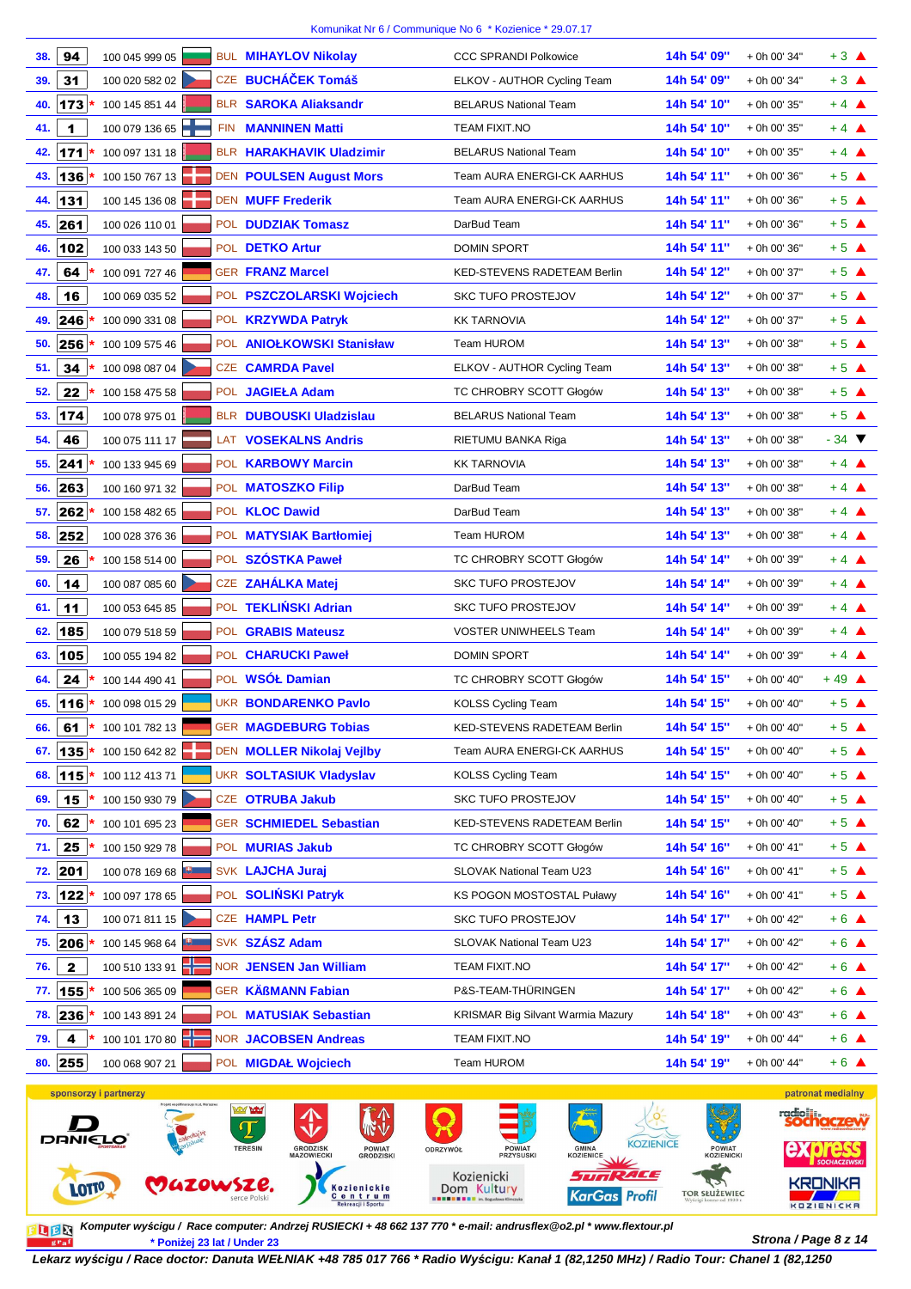| 38. | 94           | 100 045 999 05 |            | <b>BUL MIHAYLOV Nikolay</b>    | <b>CCC SPRANDI Polkowice</b>             | 14h 54' 09" | + 0h 00' 34" | $+3$ $\triangle$           |
|-----|--------------|----------------|------------|--------------------------------|------------------------------------------|-------------|--------------|----------------------------|
| 39. | 31           | 100 020 582 02 |            | CZE BUCHÁČEK Tomáš             | ELKOV - AUTHOR Cycling Team              | 14h 54' 09" | + 0h 00' 34" | $+3$ $\triangle$           |
| 40. | 173          | 100 145 851 44 |            | <b>BLR SAROKA Aliaksandr</b>   | <b>BELARUS National Team</b>             | 14h 54' 10" | + 0h 00' 35" | $+4$ $\triangle$           |
| 41. | 1            | 100 079 136 65 |            | FIN <b>MANNINEN Matti</b>      | <b>TEAM FIXIT.NO</b>                     | 14h 54' 10" | + 0h 00' 35" | $+4$ $\triangle$           |
| 42. | 171          | 100 097 131 18 |            | BLR HARAKHAVIK Uladzimir       | <b>BELARUS National Team</b>             | 14h 54' 10" | + 0h 00' 35" | $+4$ $\triangle$           |
| 43. | 136          | 100 150 767 13 |            | <b>DEN POULSEN August Mors</b> | Team AURA ENERGI-CK AARHUS               | 14h 54' 11" | + 0h 00' 36" | $+5$ $\triangle$           |
| 44. | 131          | 100 145 136 08 |            | <b>DEN MUFF Frederik</b>       | Team AURA ENERGI-CK AARHUS               | 14h 54' 11" | + 0h 00' 36" | $+5$ $\triangle$           |
| 45. | 261          | 100 026 110 01 |            | POL <b>DUDZIAK Tomasz</b>      | DarBud Team                              | 14h 54' 11" | + 0h 00' 36" | $+5$ $\triangle$           |
| 46. | 102          | 100 033 143 50 |            | POL DETKO Artur                | <b>DOMIN SPORT</b>                       | 14h 54' 11" | + 0h 00' 36" | $+5$ $\triangle$           |
| 47. | 64           | 100 091 727 46 |            | <b>GER FRANZ Marcel</b>        | KED-STEVENS RADETEAM Berlin              | 14h 54' 12" | + 0h 00' 37" | $+5$ $\triangle$           |
| 48. | 16           | 100 069 035 52 |            | POL PSZCZOLARSKI Wojciech      | <b>SKC TUFO PROSTEJOV</b>                | 14h 54' 12" | + 0h 00' 37" | $+5$ $\triangle$           |
| 49. | 246          | 100 090 331 08 |            | POL <b>KRZYWDA Patryk</b>      | <b>KK TARNOVIA</b>                       | 14h 54' 12" | + 0h 00' 37" | $+5$ $\triangle$           |
| 50. | 256          | 100 109 575 46 |            | POL ANIOŁKOWSKI Stanisław      | Team HUROM                               | 14h 54' 13" | + 0h 00' 38" | $+5$ $\triangle$           |
| 51. | 34           | 100 098 087 04 |            | <b>CZE CAMRDA Pavel</b>        | ELKOV - AUTHOR Cycling Team              | 14h 54' 13" | + 0h 00' 38" | $+5$ $\triangle$           |
| 52. | 22           | 100 158 475 58 |            | POL JAGIEŁA Adam               | TC CHROBRY SCOTT Głogów                  | 14h 54' 13" | + 0h 00' 38" | $+5$ $\triangle$           |
| 53. | 174          | 100 078 975 01 |            | <b>BLR DUBOUSKI Uladzislau</b> | <b>BELARUS National Team</b>             | 14h 54' 13" | + 0h 00' 38" | $+5$ $\triangle$           |
| 54. | 46           | 100 075 111 17 |            | LAT VOSEKALNS Andris           | RIETUMU BANKA Riga                       | 14h 54' 13" | + 0h 00' 38" | $-34$ $\blacktriangledown$ |
| 55. | 241          | 100 133 945 69 |            | POL KARBOWY Marcin             | <b>KK TARNOVIA</b>                       | 14h 54' 13" | + 0h 00' 38" | $+4$ $\triangle$           |
| 56. | 263          | 100 160 971 32 |            | POL MATOSZKO Filip             | DarBud Team                              | 14h 54' 13" | + 0h 00' 38" | $+4$ $\triangle$           |
| 57. | 262          | 100 158 482 65 |            | POL <b>KLOC</b> Dawid          | DarBud Team                              | 14h 54' 13" | + 0h 00' 38" | $+4$ $\triangle$           |
| 58. | 252          | 100 028 376 36 |            | POL MATYSIAK Bartłomiej        | Team HUROM                               | 14h 54' 13" | + 0h 00' 38" | $+4$ $\triangle$           |
| 59. | 26           | 100 158 514 00 |            | POL SZÓSTKA Paweł              | TC CHROBRY SCOTT Głogów                  | 14h 54' 14" | + 0h 00' 39" | $+4$ $\triangle$           |
| 60. | 14           | 100 087 085 60 | <b>CZE</b> | <b>ZAHÁLKA Matej</b>           | <b>SKC TUFO PROSTEJOV</b>                | 14h 54' 14" | + 0h 00' 39" | $+4$ $\triangle$           |
| 61. | 11           | 100 053 645 85 |            | POL TEKLIŃSKI Adrian           | <b>SKC TUFO PROSTEJOV</b>                | 14h 54' 14" | + 0h 00' 39" | $+4$ $\triangle$           |
| 62. | 185          | 100 079 518 59 |            | POL <b>GRABIS Mateusz</b>      | <b>VOSTER UNIWHEELS Team</b>             | 14h 54' 14" | + 0h 00' 39" | $+4$ $\triangle$           |
| 63. | 105          | 100 055 194 82 |            | POL CHARUCKI Paweł             | <b>DOMIN SPORT</b>                       | 14h 54' 14" | + 0h 00' 39" | $+4$ $\triangle$           |
| 64. | 24           | 100 144 490 41 |            | POL WSÓŁ Damian                | TC CHROBRY SCOTT Głogów                  | 14h 54' 15" | + 0h 00' 40" | $+49$ $\triangle$          |
| 65. | 116          | 100 098 015 29 |            | <b>UKR BONDARENKO Pavlo</b>    | <b>KOLSS Cycling Team</b>                | 14h 54' 15" | + 0h 00' 40" | $+5$ $\triangle$           |
| 66. | 61           | 100 101 782 13 |            | <b>GER MAGDEBURG Tobias</b>    | KED-STEVENS RADETEAM Berlin              | 14h 54' 15" | + 0h 00' 40" | $+5$ $\triangle$           |
| 67. | $ 135 $ *    | 100 150 642 82 |            | DEN MOLLER Nikolaj Vejlby      | Team AURA ENERGI-CK AARHUS               | 14h 54' 15" | + 0h 00' 40" | $+5$ $\triangle$           |
| 68. | $115*$       | 100 112 413 71 |            | <b>UKR SOLTASIUK Vladyslav</b> | <b>KOLSS Cycling Team</b>                | 14h 54' 15" | + 0h 00' 40" | $+5$ $\triangle$           |
| 69. | 15           | 100 150 930 79 |            | CZE OTRUBA Jakub               | <b>SKC TUFO PROSTEJOV</b>                | 14h 54' 15" | + 0h 00' 40" | $+5$ $\triangle$           |
| 70. | 62           | 100 101 695 23 |            | GER SCHMIEDEL Sebastian        | KED-STEVENS RADETEAM Berlin              | 14h 54' 15" | + 0h 00' 40" | $+5$ $\triangle$           |
| 71. | 25           | 100 150 929 78 |            | POL MURIAS Jakub               | TC CHROBRY SCOTT Głogów                  | 14h 54' 16" | + 0h 00' 41" | $+5$ $\triangle$           |
| 72. | 201          | 100 078 169 68 |            | SVK LAJCHA Juraj               | SLOVAK National Team U23                 | 14h 54' 16" | + 0h 00' 41" | $+5$ $\triangle$           |
| 73. | $122 *$      | 100 097 178 65 |            | POL SOLIŃSKI Patryk            | <b>KS POGON MOSTOSTAL Puławy</b>         | 14h 54' 16" | + 0h 00' 41" | $+5$ $\triangle$           |
| 74. | 13           | 100 071 811 15 |            | <b>CZE HAMPL Petr</b>          | <b>SKC TUFO PROSTEJOV</b>                | 14h 54' 17" | + 0h 00' 42" | $+6$ $\triangle$           |
| 75. | $ 206 $ *    | 100 145 968 64 |            | SVK SZÁSZ Adam                 | SLOVAK National Team U23                 | 14h 54' 17" | + 0h 00' 42" | $+6$ $\triangle$           |
| 76. | $\mathbf{2}$ | 100 510 133 91 |            | NOR JENSEN Jan William         | TEAM FIXIT.NO                            | 14h 54' 17" | + 0h 00' 42" | $+6$ $\triangle$           |
| 77. | $155$ *      | 100 506 365 09 |            | GER KÄßMANN Fabian             | P&S-TEAM-THÜRINGEN                       | 14h 54' 17" | + 0h 00' 42" | $+6$ $\triangle$           |
| 78. | 236 *        | 100 143 891 24 |            | POL MATUSIAK Sebastian         | <b>KRISMAR Big Silvant Warmia Mazury</b> | 14h 54' 18" | + 0h 00' 43" | $+6$ $\triangle$           |
| 79. | 4            | 100 101 170 80 |            | NOR JACOBSEN Andreas           | TEAM FIXIT.NO                            | 14h 54' 19" | + 0h 00' 44" | $+6$ $\triangle$           |
| 80. | 255          | 100 068 907 21 |            | POL MIGDAŁ Wojciech            | Team HUROM                               | 14h 54' 19" | + 0h 00' 44" | $+6$ $\triangle$           |
|     |              |                |            |                                |                                          |             |              |                            |



**Strona / Page 8 z 14 \* Poniżej 23 lat / Under 23 Komputer wy***ś***cigu / Race computer: Andrzej RUSIECKI + 48 662 137 770 \* e-mail: andrusflex@o2.pl \* www.flextour.pl**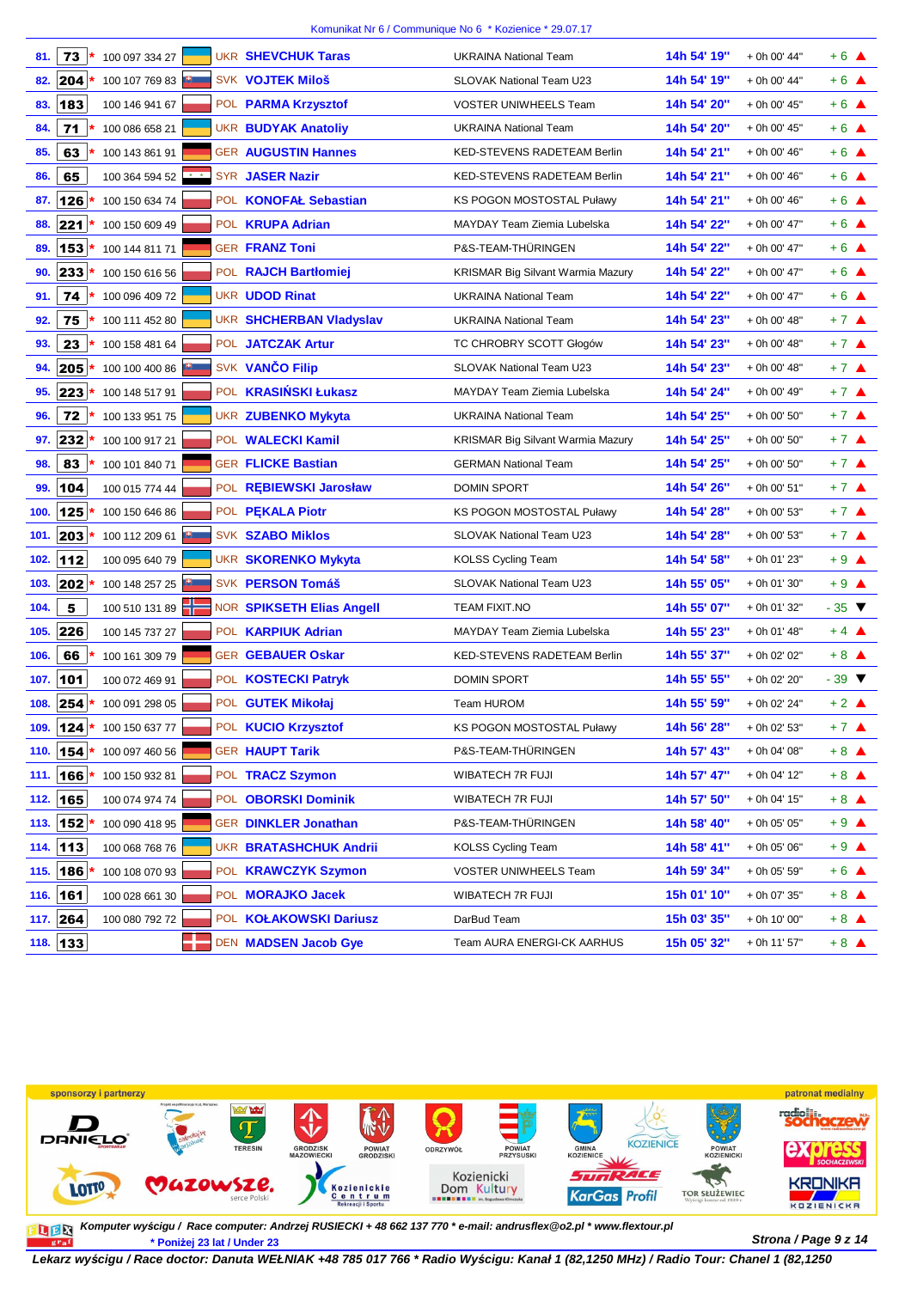| 81.  | 73       | 100 097 334 27 |  | <b>UKR SHEVCHUK Taras</b>      | <b>UKRAINA National Team</b>             | 14h 54' 19" | + 0h 00' 44" | $+6$ $\triangle$           |
|------|----------|----------------|--|--------------------------------|------------------------------------------|-------------|--------------|----------------------------|
| 82.  | 204      | 100 107 769 83 |  | <b>SVK VOJTEK Miloš</b>        | <b>SLOVAK National Team U23</b>          | 14h 54' 19" | + 0h 00' 44" | $+6$ $\triangle$           |
| 83.  | 183      | 100 146 941 67 |  | POL PARMA Krzysztof            | <b>VOSTER UNIWHEELS Team</b>             | 14h 54' 20" | + 0h 00' 45" | $+6$ $\triangle$           |
| 84.  | 71       | 100 086 658 21 |  | <b>UKR BUDYAK Anatoliy</b>     | <b>UKRAINA National Team</b>             | 14h 54' 20" | + 0h 00' 45" | $+6$ $\triangle$           |
| 85.  | 63       | 100 143 861 91 |  | <b>GER AUGUSTIN Hannes</b>     | KED-STEVENS RADETEAM Berlin              | 14h 54' 21" | + 0h 00' 46" | $+6$ $\triangle$           |
| 86.  | 65       | 100 364 594 52 |  | SYR JASER Nazir                | KED-STEVENS RADETEAM Berlin              | 14h 54' 21" | + 0h 00' 46" | $+6$ $\triangle$           |
| 87.  | 126      | 100 150 634 74 |  | POL KONOFAŁ Sebastian          | <b>KS POGON MOSTOSTAL Puławy</b>         | 14h 54' 21" | + 0h 00' 46" | $+6$ $\triangle$           |
| 88.  | 221      | 100 150 609 49 |  | POL <b>KRUPA Adrian</b>        | MAYDAY Team Ziemia Lubelska              | 14h 54' 22" | + 0h 00' 47" | $+6$ $\triangle$           |
| 89.  | 153      | 100 144 811 71 |  | <b>GER FRANZ Toni</b>          | P&S-TEAM-THÜRINGEN                       | 14h 54' 22" | + 0h 00' 47" | $+6$ $\triangle$           |
| 90.  | 233      | 100 150 616 56 |  | POL RAJCH Bartłomiej           | KRISMAR Big Silvant Warmia Mazury        | 14h 54' 22" | + 0h 00' 47" | $+6$ $\triangle$           |
| 91.  | 74       | 100 096 409 72 |  | <b>UKR UDOD Rinat</b>          | <b>UKRAINA National Team</b>             | 14h 54' 22" | + 0h 00' 47" | $+6$ $\triangle$           |
| 92.  | 75       | 100 111 452 80 |  | <b>UKR SHCHERBAN Vladyslav</b> | <b>UKRAINA National Team</b>             | 14h 54' 23" | + 0h 00' 48" | $+7$ $\triangle$           |
| 93.  | 23       | 100 158 481 64 |  | POL JATCZAK Artur              | TC CHROBRY SCOTT Głogów                  | 14h 54' 23" | + 0h 00' 48" | $+7$ $\triangle$           |
| 94.  | 205      | 100 100 400 86 |  | SVK VANČO Filip                | SLOVAK National Team U23                 | 14h 54' 23" | + 0h 00' 48" | $+7$ $\triangle$           |
| 95.  | 223      | 100 148 517 91 |  | POL KRASIŃSKI Łukasz           | MAYDAY Team Ziemia Lubelska              | 14h 54' 24" | + 0h 00' 49" | $+7$ $\triangle$           |
| 96.  | 72       | 100 133 951 75 |  | <b>UKR ZUBENKO Mykyta</b>      | <b>UKRAINA National Team</b>             | 14h 54' 25" | + 0h 00' 50" | $+7$ $\triangle$           |
| 97.  | 232      | 100 100 917 21 |  | POL WALECKI Kamil              | <b>KRISMAR Big Silvant Warmia Mazury</b> | 14h 54' 25" | + 0h 00' 50" | $+7$ $\triangle$           |
| 98.  | 83       | 100 101 840 71 |  | <b>GER FLICKE Bastian</b>      | <b>GERMAN National Team</b>              | 14h 54' 25" | + 0h 00' 50" | $+7$ $\triangle$           |
| 99.  | 104      | 100 015 774 44 |  | POL REBIEWSKI Jarosław         | <b>DOMIN SPORT</b>                       | 14h 54' 26" | + 0h 00' 51" | $+7$ $\triangle$           |
| 100. | 125      | 100 150 646 86 |  | POL PEKALA Piotr               | KS POGON MOSTOSTAL Puławy                | 14h 54' 28" | + 0h 00' 53" | $+7$ $\triangle$           |
| 101. | 203      | 100 112 209 61 |  | <b>SVK SZABO Miklos</b>        | <b>SLOVAK National Team U23</b>          | 14h 54' 28" | + 0h 00' 53" | $+7$ $\triangle$           |
| 102. | 112      | 100 095 640 79 |  | UKR SKORENKO Mykyta            | <b>KOLSS Cycling Team</b>                | 14h 54' 58" | + 0h 01' 23" | $+9$ $\triangle$           |
| 103. | 202      | 100 148 257 25 |  | SVK PERSON Tomáš               | SLOVAK National Team U23                 | 14h 55' 05" | + 0h 01' 30" | $+9$ $\triangle$           |
| 104. | 5        | 100 510 131 89 |  | NOR SPIKSETH Elias Angell      | <b>TEAM FIXIT.NO</b>                     | 14h 55' 07" | + 0h 01' 32" | $-35$ $\blacktriangledown$ |
| 105. | 226      | 100 145 737 27 |  | POL <b>KARPIUK Adrian</b>      | MAYDAY Team Ziemia Lubelska              | 14h 55' 23" | + 0h 01' 48" | $+4$ $\triangle$           |
| 106. | 66       | 100 161 309 79 |  | <b>GER GEBAUER Oskar</b>       | KED-STEVENS RADETEAM Berlin              | 14h 55' 37" | + 0h 02' 02" | $+8$ $\triangle$           |
| 107. | 101      | 100 072 469 91 |  | POL KOSTECKI Patryk            | <b>DOMIN SPORT</b>                       | 14h 55' 55" | + 0h 02' 20" | $-39$ $\blacktriangledown$ |
| 108. | 254      | 100 091 298 05 |  | POL GUTEK Mikołaj              | Team HUROM                               | 14h 55' 59" | + 0h 02' 24" | $+2$ $\triangle$           |
| 109. | 124      | 100 150 637 77 |  | POL KUCIO Krzysztof            | KS POGON MOSTOSTAL Puławy                | 14h 56' 28" | + 0h 02' 53" | $+7$ $\triangle$           |
| 110. | 154      | 100 097 460 56 |  | <b>GER HAUPT Tarik</b>         | P&S-TEAM-THÜRINGEN                       | 14h 57' 43" | + 0h 04' 08" | $+8$ $\triangle$           |
| 111. | 166      | 100 150 932 81 |  | POL TRACZ Szymon               | WIBATECH 7R FUJI                         | 14h 57' 47" | + 0h 04' 12" | $+8$ $\triangle$           |
| 112. | 165      | 100 074 974 74 |  | POL OBORSKI Dominik            | WIBATECH 7R FUJI                         | 14h 57' 50" | + 0h 04' 15" | $+8$ $\triangle$           |
| 113. | 152 *    | 100 090 418 95 |  | <b>GER DINKLER Jonathan</b>    | P&S-TEAM-THÜRINGEN                       | 14h 58' 40" | + 0h 05' 05" | $+9$ $\triangle$           |
|      | 114. 113 | 100 068 768 76 |  | <b>UKR BRATASHCHUK Andrii</b>  | <b>KOLSS Cycling Team</b>                | 14h 58' 41" | + 0h 05' 06" | $+9$ $\triangle$           |
| 115. | 186      | 100 108 070 93 |  | POL <b>KRAWCZYK Szymon</b>     | <b>VOSTER UNIWHEELS Team</b>             | 14h 59' 34" | + 0h 05' 59" | $+6$ $\triangle$           |
| 116. | 161      | 100 028 661 30 |  | POL MORAJKO Jacek              | WIBATECH 7R FUJI                         | 15h 01' 10" | + 0h 07' 35" | $+8$ $\triangle$           |
|      | 117. 264 | 100 080 792 72 |  | POL KOŁAKOWSKI Dariusz         | DarBud Team                              | 15h 03' 35" | + 0h 10' 00" | $+8$ $\triangle$           |
|      | 118. 133 |                |  | DEN MADSEN Jacob Gye           | Team AURA ENERGI-CK AARHUS               | 15h 05' 32" | + 0h 11' 57" | $+8$ $\triangle$           |



**Strona / Page 9 z 14 \* Poniżej 23 lat / Under 23 Komputer wy***ś***cigu / Race computer: Andrzej RUSIECKI + 48 662 137 770 \* e-mail: andrusflex@o2.pl \* www.flextour.pl**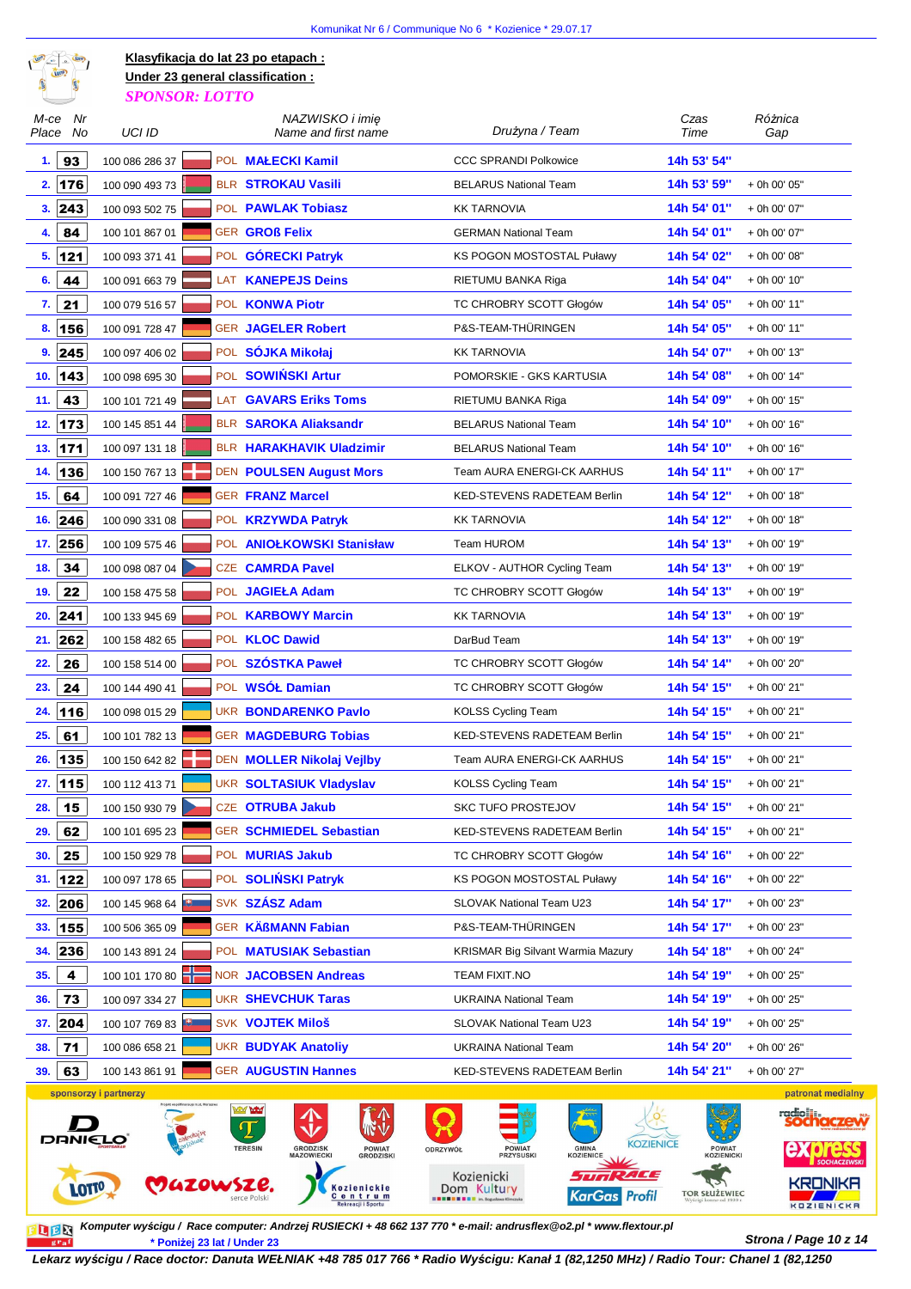

*SPONSOR: LOTTO* **Klasyfikacja do lat 23 po etapach : Under 23 general classification :**

| M-ce Nr<br>Place No | UCI ID                | NAZWISKO i imie<br>Name and first name              | Drużyna / Team                                                | Czas<br>Time         | Różnica<br>Gap               |
|---------------------|-----------------------|-----------------------------------------------------|---------------------------------------------------------------|----------------------|------------------------------|
| 93<br>1.            | 100 086 286 37        | POL MAŁECKI Kamil                                   | <b>CCC SPRANDI Polkowice</b>                                  | 14h 53' 54"          |                              |
| 176<br>2.           | 100 090 493 73        | <b>BLR STROKAU Vasili</b>                           | <b>BELARUS National Team</b>                                  | 14h 53' 59"          | + 0h 00' 05"                 |
| 243<br>3.           | 100 093 502 75        | POL PAWLAK Tobiasz                                  | <b>KK TARNOVIA</b>                                            | 14h 54' 01"          | + 0h 00' 07"                 |
| 84<br>4.            | 100 101 867 01        | <b>GER GROß Felix</b>                               | <b>GERMAN National Team</b>                                   | 14h 54' 01"          | + 0h 00' 07"                 |
| 5.121               | 100 093 371 41        | POL GÓRECKI Patryk                                  | <b>KS POGON MOSTOSTAL Puławy</b>                              | 14h 54' 02"          | + 0h 00' 08"                 |
| 44<br>6.            | 100 091 663 79        | LAT KANEPEJS Deins                                  | RIETUMU BANKA Riga                                            | 14h 54' 04"          | + 0h 00' 10"                 |
| 21<br>7.            | 100 079 516 57        | POL KONWA Piotr                                     | TC CHROBRY SCOTT Głogów                                       | 14h 54' 05"          | + 0h 00' 11"                 |
| 156<br>8.           | 100 091 728 47        | <b>GER JAGELER Robert</b>                           | P&S-TEAM-THÜRINGEN                                            | 14h 54' 05"          | + 0h 00' 11"                 |
| 9.245               | 100 097 406 02        | POL SÓJKA Mikołaj                                   | <b>KK TARNOVIA</b>                                            | 14h 54' 07"          | + 0h 00' 13"                 |
| 10.<br>143          | 100 098 695 30        | POL SOWIŃSKI Artur                                  | POMORSKIE - GKS KARTUSIA                                      | 14h 54' 08"          | + 0h 00' 14"                 |
| 43<br>11.           | 100 101 721 49        | <b>LAT GAVARS Eriks Toms</b>                        | RIETUMU BANKA Riga                                            | 14h 54' 09"          | + 0h 00' 15"                 |
| 173<br>12.          | 100 145 851 44        | <b>BLR SAROKA Aliaksandr</b>                        | <b>BELARUS National Team</b>                                  | 14h 54' 10"          | + 0h 00' 16"                 |
| 171<br>13.          | 100 097 131 18        | <b>BLR HARAKHAVIK Uladzimir</b>                     | <b>BELARUS National Team</b>                                  | 14h 54' 10"          | + 0h 00' 16"                 |
| 136<br>14.          | 100 150 767 13        | DEN POULSEN August Mors                             | Team AURA ENERGI-CK AARHUS                                    | 14h 54' 11"          | + 0h 00' 17"                 |
| 15.<br>64           | 100 091 727 46        | <b>GER FRANZ Marcel</b>                             | <b>KED-STEVENS RADETEAM Berlin</b>                            | 14h 54' 12"          | + 0h 00' 18"                 |
| 246<br>16.          | 100 090 331 08        | POL KRZYWDA Patryk                                  | <b>KK TARNOVIA</b>                                            | 14h 54' 12"          | + 0h 00' 18"                 |
| 17. 256             | 100 109 575 46        | POL ANIOLKOWSKI Stanisław                           | Team HUROM                                                    | 14h 54' 13"          | + 0h 00' 19"                 |
| 34<br>18.           | 100 098 087 04        | <b>CZE CAMRDA Pavel</b>                             | ELKOV - AUTHOR Cycling Team                                   | 14h 54' 13"          | + 0h 00' 19"                 |
| 22<br>19.           | 100 158 475 58        | POL JAGIEŁA Adam                                    | TC CHROBRY SCOTT Głogów                                       | 14h 54' 13"          | + 0h 00' 19"                 |
| 241<br>20.          | 100 133 945 69        | POL KARBOWY Marcin                                  | <b>KK TARNOVIA</b>                                            | 14h 54' 13"          | + 0h 00' 19"                 |
| 262<br>21.          | 100 158 482 65        | POL <b>KLOC Dawid</b>                               | DarBud Team                                                   | 14h 54' 13"          | + 0h 00' 19"                 |
| 26<br>22.           | 100 158 514 00        | POL SZÓSTKA Paweł                                   | TC CHROBRY SCOTT Głogów                                       | 14h 54' 14"          | + 0h 00' 20"                 |
| 24<br>23.           | 100 144 490 41        | POL WSÓŁ Damian                                     | TC CHROBRY SCOTT Głogów                                       | 14h 54' 15"          | + 0h 00' 21"                 |
| 116<br>24.          | 100 098 015 29        | <b>UKR BONDARENKO Pavlo</b>                         | <b>KOLSS Cycling Team</b>                                     | 14h 54' 15"          | + 0h 00' 21"                 |
| 61<br>25.           | 100 101 782 13        | <b>GER MAGDEBURG Tobias</b>                         | KED-STEVENS RADETEAM Berlin                                   | 14h 54' 15"          | + 0h 00' 21"                 |
| 26.<br>135          | 100 150 642 82        | DEN MOLLER Nikolaj Vejlby                           | Team AURA ENERGI-CK AARHUS                                    | 14h 54' 15"          | + 0h 00' 21"                 |
| 115<br>27.          | 100 112 413 71        | <b>UKR SOLTASIUK Vladyslav</b>                      | KOLSS Cycling Team                                            | 14h 54' 15"          | + 0h 00' 21"                 |
| 15<br>28.           | 100 150 930 79        | CZE OTRUBA Jakub                                    | <b>SKC TUFO PROSTEJOV</b>                                     | 14h 54' 15"          | + 0h 00' 21"                 |
| 62<br>29.           | 100 101 695 23        | <b>GER SCHMIEDEL Sebastian</b>                      | KED-STEVENS RADETEAM Berlin                                   | 14h 54' 15"          | + 0h 00' 21"                 |
| 30.<br>25           | 100 150 929 78        | POL MURIAS Jakub                                    | TC CHROBRY SCOTT Głogów                                       | 14h 54' 16"          | + 0h 00' 22"                 |
| 122<br>31.          | 100 097 178 65        | POL SOLIŃSKI Patryk                                 | <b>KS POGON MOSTOSTAL Puławy</b>                              | 14h 54' 16"          | + 0h 00' 22"                 |
| 206<br>32.          | 100 145 968 64        | SVK SZÁSZ Adam                                      | SLOVAK National Team U23                                      | 14h 54' 17"          | + 0h 00' 23"                 |
| 155<br>33.          | 100 506 365 09        | GER KÄßMANN Fabian                                  | P&S-TEAM-THÜRINGEN                                            | 14h 54' 17"          | + 0h 00' 23"                 |
| 236<br>34.          | 100 143 891 24        | POL <b>MATUSIAK Sebastian</b>                       | <b>KRISMAR Big Silvant Warmia Mazury</b>                      | 14h 54' 18"          | + 0h 00' 24"                 |
| 4<br>35.            | 100 101 170 80        | <b>NOR JACOBSEN Andreas</b>                         | TEAM FIXIT.NO                                                 | 14h 54' 19"          | + 0h 00' 25"                 |
| 73<br>36.           | 100 097 334 27        | <b>UKR SHEVCHUK Taras</b>                           | <b>UKRAINA National Team</b>                                  | 14h 54' 19"          | + 0h 00' 25"                 |
| 204<br>37.          | 100 107 769 83        | SVK VOJTEK Miloš                                    | SLOVAK National Team U23                                      | 14h 54' 19''         | + 0h 00' 25"                 |
| 71<br>38.           | 100 086 658 21        | <b>UKR BUDYAK Anatoliy</b>                          | <b>UKRAINA National Team</b>                                  | 14h 54' 20"          | + 0h 00' 26"                 |
| 63<br>39.           | 100 143 861 91        | <b>GER AUGUSTIN Hannes</b>                          | KED-STEVENS RADETEAM Berlin                                   | 14h 54' 21"          | + 0h 00' 27"                 |
|                     | sponsorzy i partnerzy |                                                     |                                                               |                      | patronat medialny            |
|                     |                       | <b>MAGNET</b>                                       |                                                               |                      |                              |
| <b>DRNIELO</b>      |                       | <b>TERESIN</b><br><b>GRODZISK</b><br>POWIAT         | <b>KOZIENICE</b><br><b>GMINA</b><br><b>POWIAT</b><br>ODRZYWÓŁ | <b>POWIAT</b>        |                              |
|                     |                       | <b>MAZOWIECKI</b><br><b>GRODZISKI</b>               | <b>PRZYSUSKI</b><br><b>KOZIENICE</b><br>ACE<br>Kozienicki     | <b>KOZIENICKI</b>    |                              |
| LOTTO               | MAZOWSZE.             | Kozienickie<br><b>Centrum</b><br>Rekreacji i Sportu | Dom Kultury<br>KarGas Profil                                  | <b>TOR SŁUŻEWIEC</b> | KRONIKA<br><b>KOZIENICKA</b> |

**Strona / Page 10 z 14 \* Poniżej 23 lat / Under 23 Komputer wy***ś***cigu / Race computer: Andrzej RUSIECKI + 48 662 137 770 \* e-mail: andrusflex@o2.pl \* www.flextour.pl**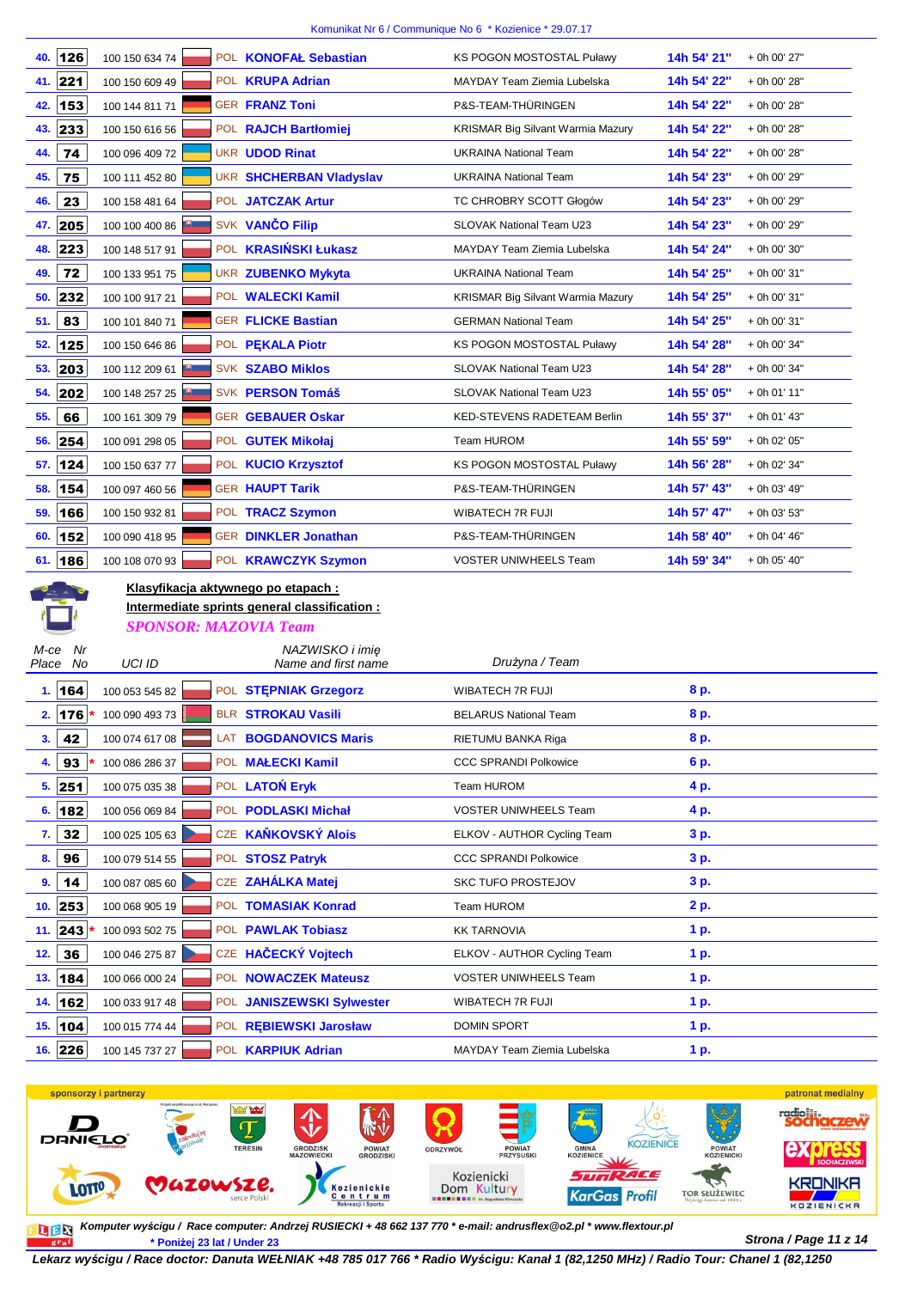|                           |                                           |                                               | Komunikat Nr 6 / Communique No 6 CKozienice CZ9.07.17 |                             |
|---------------------------|-------------------------------------------|-----------------------------------------------|-------------------------------------------------------|-----------------------------|
| 126<br>40.                | 100 150 634 74                            | POL KONOFAŁ Sebastian                         | <b>KS POGON MOSTOSTAL Puławy</b>                      | 14h 54' 21"<br>+ 0h 00' 27" |
| 221<br>41.                | 100 150 609 49                            | POL <b>KRUPA Adrian</b>                       | MAYDAY Team Ziemia Lubelska                           | 14h 54' 22"<br>+ 0h 00' 28" |
| 153<br>42.                | 100 144 811 71                            | <b>GER FRANZ Toni</b>                         | P&S-TEAM-THÜRINGEN                                    | 14h 54' 22"<br>+ 0h 00' 28" |
| 233<br>43.                | 100 150 616 56                            | POL RAJCH Bartłomiej                          | KRISMAR Big Silvant Warmia Mazury                     | 14h 54' 22"<br>+ 0h 00' 28" |
| 74<br>44.                 | 100 096 409 72                            | <b>UKR UDOD Rinat</b>                         | <b>UKRAINA National Team</b>                          | 14h 54' 22"<br>+ 0h 00' 28" |
| 75<br>45.                 | 100 111 452 80                            | <b>UKR SHCHERBAN Vladyslav</b>                | <b>UKRAINA National Team</b>                          | 14h 54' 23"<br>+ 0h 00' 29" |
| 23<br>46.                 | 100 158 481 64                            | POL JATCZAK Artur                             | TC CHROBRY SCOTT Głogów                               | 14h 54' 23"<br>+ 0h 00' 29" |
| 205<br>47.                | 100 100 400 86                            | SVK VANČO Filip                               | SLOVAK National Team U23                              | 14h 54' 23"<br>+ 0h 00' 29" |
| 223<br>48.                | 100 148 517 91                            | POL KRASIŃSKI Łukasz                          | MAYDAY Team Ziemia Lubelska                           | 14h 54' 24"<br>+ 0h 00' 30" |
| 72<br>49.                 | 100 133 951 75                            | UKR ZUBENKO Mykyta                            | <b>UKRAINA National Team</b>                          | 14h 54' 25"<br>+ 0h 00' 31" |
| 232<br>50.                | 100 100 917 21                            | POL WALECKI Kamil                             | KRISMAR Big Silvant Warmia Mazury                     | 14h 54' 25"<br>+ 0h 00' 31" |
| 83<br>51.                 | 100 101 840 71                            | <b>GER FLICKE Bastian</b>                     | <b>GERMAN National Team</b>                           | 14h 54' 25"<br>+ 0h 00' 31" |
| 125<br>52.                | 100 150 646 86                            | POL PEKALA Piotr                              | KS POGON MOSTOSTAL Puławy                             | 14h 54' 28"<br>+ 0h 00' 34" |
| 203<br>53.                | 100 112 209 61                            | <b>SVK SZABO Miklos</b>                       | SLOVAK National Team U23                              | 14h 54' 28"<br>+ 0h 00' 34" |
| 202<br>54.                | 100 148 257 25                            | SVK PERSON Tomáš                              | SLOVAK National Team U23                              | 14h 55' 05"<br>+ 0h 01' 11" |
| 66<br>55.                 | 100 161 309 79                            | <b>GER GEBAUER Oskar</b>                      | KED-STEVENS RADETEAM Berlin                           | 14h 55' 37"<br>+ 0h 01' 43" |
| 254<br>56.                | 100 091 298 05                            | POL GUTEK Mikołaj                             | Team HUROM                                            | 14h 55' 59"<br>+ 0h 02' 05" |
| 124<br>57.                | 100 150 637 77                            | POL KUCIO Krzysztof                           | KS POGON MOSTOSTAL Puławy                             | 14h 56' 28"<br>+ 0h 02' 34" |
| 154<br>58.                | 100 097 460 56                            | <b>GER HAUPT Tarik</b>                        | P&S-TEAM-THÜRINGEN                                    | 14h 57' 43"<br>+ 0h 03' 49" |
| 166<br>59.                | 100 150 932 81                            | POL TRACZ Szymon                              | <b>WIBATECH 7R FUJI</b>                               | 14h 57' 47"<br>+ 0h 03' 53" |
| 152<br>60.                | 100 090 418 95                            | <b>GER DINKLER Jonathan</b>                   | P&S-TEAM-THÜRINGEN                                    | 14h 58' 40"<br>+ 0h 04' 46" |
| 186<br>61.                | 100 108 070 93                            | POL <b>KRAWCZYK Szymon</b>                    | <b>VOSTER UNIWHEELS Team</b>                          | 14h 59' 34"<br>+ 0h 05' 40" |
|                           | <u>Klasyfikacja aktywnego po etapach:</u> |                                               |                                                       |                             |
|                           |                                           | Intermediate sprints general classification : |                                                       |                             |
|                           | <b>SPONSOR: MAZOVIA Team</b>              |                                               |                                                       |                             |
| Nr<br>M-ce<br>Place<br>No | UCI ID                                    | NAZWISKO i imię<br>Name and first name        | Drużyna / Team                                        |                             |
| 164<br>1.                 | 100 053 545 82                            | POL STEPNIAK Grzegorz                         | <b>WIBATECH 7R FUJI</b>                               | 8 p.                        |
|                           | 2. 176 $*$ 100 090 493 73                 | BLR STROKAU Vasili                            | <b>BELARUS National Team</b>                          | 8 p.                        |
| 42<br>3.                  | 100 074 617 08                            | LAT BOGDANOVICS Maris                         | RIETUMU BANKA Riga                                    | 8 p.                        |
| 93<br>4.                  | 100 086 286 37                            | POL MALECKI Kamil                             | <b>CCC SPRANDI Polkowice</b>                          | 6 p.                        |
| 251<br>5.                 | 100 075 035 38                            | POL LATON Eryk                                | Team HUROM                                            | 4 p.                        |
| 182<br>6.                 | 100 056 069 84                            | POL PODLASKI Michał                           | VOSTER UNIWHEELS Team                                 | 4 p.                        |
| 32<br>7.                  | 100 025 105 63                            | CZE KAŇKOVSKÝ Alois                           | ELKOV - AUTHOR Cycling Team                           | 3 p.                        |
| 96<br>8.                  | 100 079 514 55                            | POL STOSZ Patryk                              | <b>CCC SPRANDI Polkowice</b>                          | 3 p.                        |
| 14<br>9.                  | 100 087 085 60                            | CZE ZAHÁLKA Matej                             | <b>SKC TUFO PROSTEJOV</b>                             | 3 p.                        |
| 253<br>10.                | 100 068 905 19                            | POL TOMASIAK Konrad                           | Team HUROM                                            | 2 p.                        |
| 243<br>11.                | 100 093 502 75                            | POL PAWLAK Tobiasz                            | <b>KK TARNOVIA</b>                                    | 1 p.                        |
| 12.<br>36                 | 100 046 275 87                            | CZE HAČECKÝ Vojtech                           | ELKOV - AUTHOR Cycling Team                           | 1 p.                        |
| 184<br>13.                |                                           |                                               |                                                       |                             |
|                           | 100 066 000 24                            | POL NOWACZEK Mateusz                          | <b>VOSTER UNIWHEELS Team</b>                          | 1 p.                        |



**Strona / Page 11 z 14 \* Poniżej 23 lat / Under 23 Komputer wy***ś***cigu / Race computer: Andrzej RUSIECKI + 48 662 137 770 \* e-mail: andrusflex@o2.pl \* www.flextour.pl**

15. **104** 100 015 774 44 POL **REBIEWSKI Jarosław DOMIN SPORT 1 p. 16.** 226 100 145 737 27 POL **KARPIUK Adrian** MAYDAY Team Ziemia Lubelska **1 p.**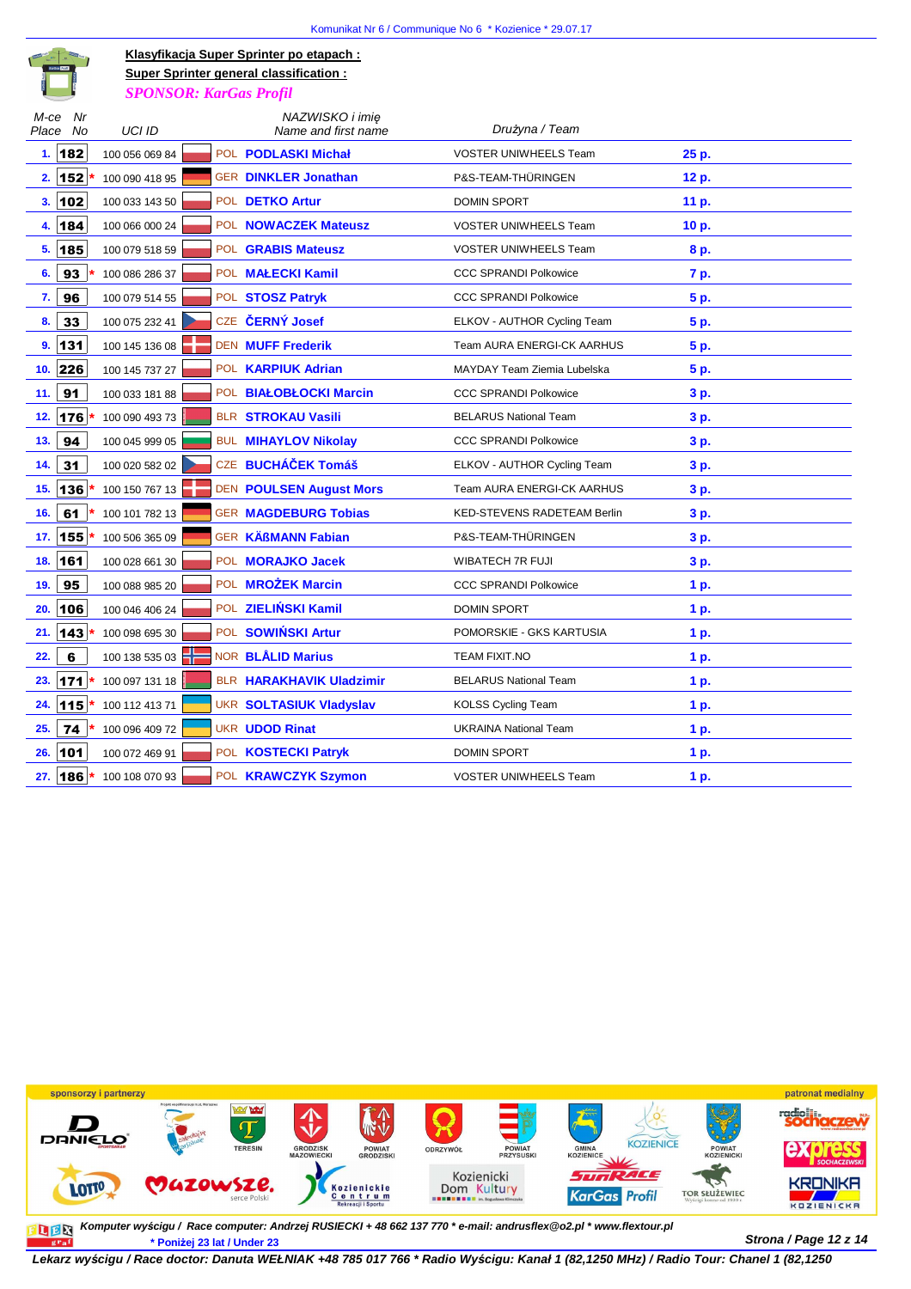

**Klasyfikacja Super Sprinter po etapach :** *SPONSOR: KarGas Profil* **Super Sprinter general classification :**

| M-ce<br>Place | Nr<br>No     | UCI ID         |  | NAZWISKO i imie<br>Name and first name | Drużyna / Team                     |       |
|---------------|--------------|----------------|--|----------------------------------------|------------------------------------|-------|
|               | 1.182        | 100 056 069 84 |  | POL <b>PODLASKI Michał</b>             | <b>VOSTER UNIWHEELS Team</b>       | 25 p. |
|               | $2.  152 $ * | 100 090 418 95 |  | <b>GER DINKLER Jonathan</b>            | P&S-TEAM-THÜRINGEN                 | 12 p. |
| 3.102         |              | 100 033 143 50 |  | POL DETKO Artur                        | <b>DOMIN SPORT</b>                 | 11 p. |
| 4.            | 184          | 100 066 000 24 |  | POL <b>NOWACZEK Mateusz</b>            | <b>VOSTER UNIWHEELS Team</b>       | 10 p. |
| 5.            | 185          | 100 079 518 59 |  | POL <b>GRABIS Mateusz</b>              | <b>VOSTER UNIWHEELS Team</b>       | 8 p.  |
| 6.            | 93           | 100 086 286 37 |  | POL <b>MAŁECKI Kamil</b>               | <b>CCC SPRANDI Polkowice</b>       | 7 p.  |
| 7.            | 96           | 100 079 514 55 |  | POL STOSZ Patryk                       | <b>CCC SPRANDI Polkowice</b>       | 5 p.  |
| 8.            | 33           | 100 075 232 41 |  | CZE ČERNÝ Josef                        | ELKOV - AUTHOR Cycling Team        | 5 p.  |
| 9.            | 131          | 100 145 136 08 |  | <b>DEN MUFF Frederik</b>               | <b>Team AURA ENERGI-CK AARHUS</b>  | 5 p.  |
| 10.           | 226          | 100 145 737 27 |  | POL <b>KARPIUK Adrian</b>              | MAYDAY Team Ziemia Lubelska        | 5 p.  |
| 11.           | 91           | 100 033 181 88 |  | POL BIAŁOBŁOCKI Marcin                 | <b>CCC SPRANDI Polkowice</b>       | 3 p.  |
| 12.           | 176          | 100 090 493 73 |  | <b>BLR STROKAU Vasili</b>              | <b>BELARUS National Team</b>       | 3 p.  |
| 13.           | 94           | 100 045 999 05 |  | <b>BUL MIHAYLOV Nikolay</b>            | <b>CCC SPRANDI Polkowice</b>       | 3 p.  |
| 14.           | 31           | 100 020 582 02 |  | CZE BUCHÁČEK Tomáš                     | ELKOV - AUTHOR Cycling Team        | 3 p.  |
| 15.           | 136          | 100 150 767 13 |  | <b>DEN POULSEN August Mors</b>         | <b>Team AURA ENERGI-CK AARHUS</b>  | 3 p.  |
| 16.           | 61           | 100 101 782 13 |  | <b>GER MAGDEBURG Tobias</b>            | <b>KED-STEVENS RADETEAM Berlin</b> | 3 p.  |
| 17.           | 155 *        | 100 506 365 09 |  | <b>GER KÄßMANN Fabian</b>              | P&S-TEAM-THÜRINGEN                 | 3 p.  |
| 18.           | 161          | 100 028 661 30 |  | POL MORAJKO Jacek                      | WIBATECH 7R FUJI                   | 3 p.  |
| 19.           | 95           | 100 088 985 20 |  | POL <b>MROŻEK Marcin</b>               | <b>CCC SPRANDI Polkowice</b>       | 1 p.  |
| 20.           | 106          | 100 046 406 24 |  | POL ZIELIŃSKI Kamil                    | <b>DOMIN SPORT</b>                 | 1 p.  |
| 21.           | 143          | 100 098 695 30 |  | POL SOWIŃSKI Artur                     | POMORSKIE - GKS KARTUSIA           | 1 p.  |
| 22.           | 6            | 100 138 535 03 |  | NOR <b>BLÅLID Marius</b>               | TEAM FIXIT.NO                      | 1 p.  |
| 23.           | 171          | 100 097 131 18 |  | BLR HARAKHAVIK Uladzimir               | <b>BELARUS National Team</b>       | 1 p.  |
| 24.           | 115          | 100 112 413 71 |  | <b>UKR SOLTASIUK Vladyslav</b>         | <b>KOLSS Cycling Team</b>          | 1 p.  |
| 25.           | 74           | 100 096 409 72 |  | <b>UKR UDOD Rinat</b>                  | <b>UKRAINA National Team</b>       | 1 p.  |
| 26.           | 101          | 100 072 469 91 |  | POL <b>KOSTECKI Patryk</b>             | <b>DOMIN SPORT</b>                 | 1 p.  |
| 27.   186     |              | 100 108 070 93 |  | POL KRAWCZYK Szymon                    | <b>VOSTER UNIWHEELS Team</b>       | 1 p.  |
|               |              |                |  |                                        |                                    |       |



**Strona / Page 12 z 14 \* Poniżej 23 lat / Under 23 Komputer wy***ś***cigu / Race computer: Andrzej RUSIECKI + 48 662 137 770 \* e-mail: andrusflex@o2.pl \* www.flextour.pl**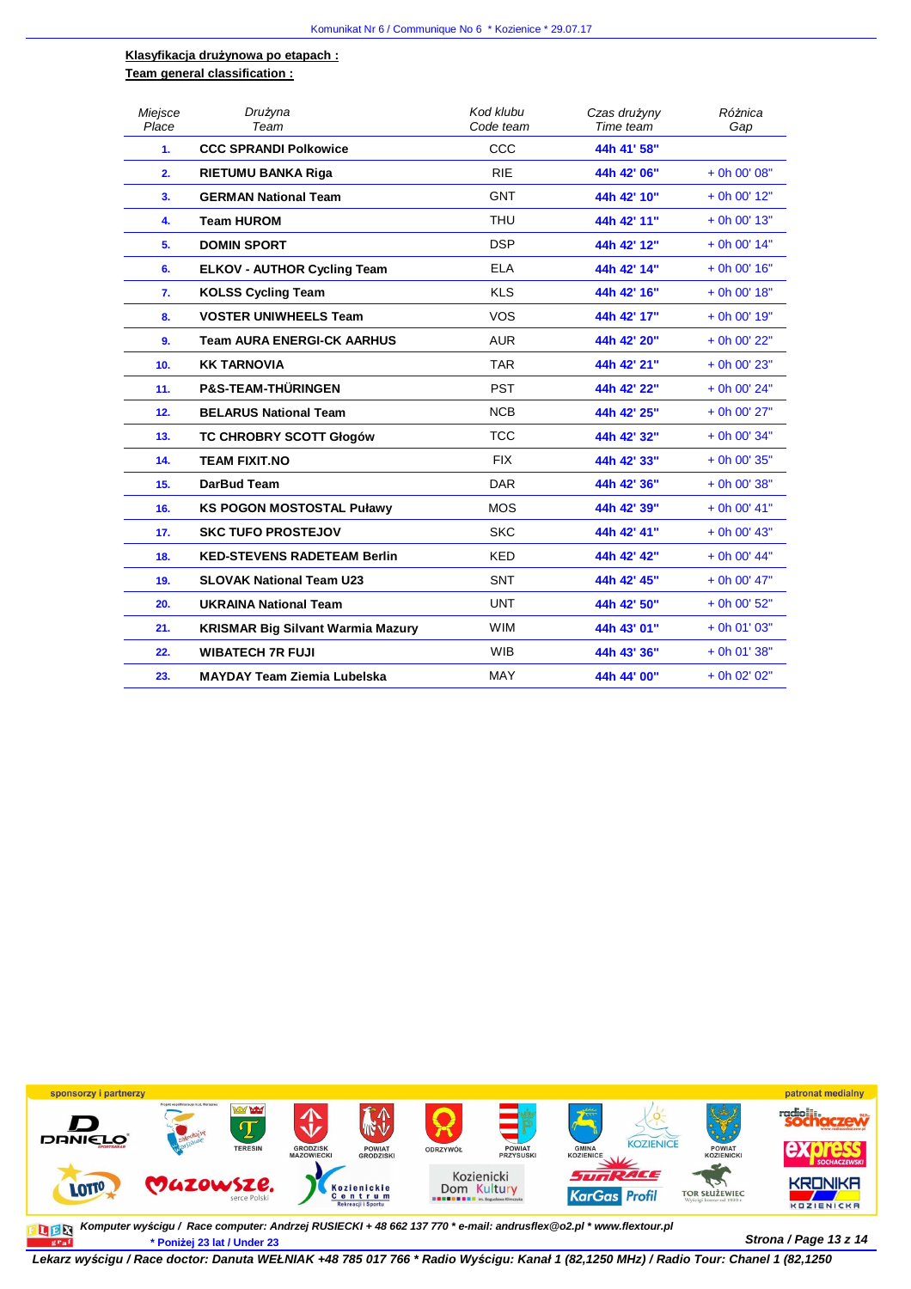#### **Klasyfikacja drużynowa po etapach : Team general classification :**

| Miejsce<br>Place | Drużyna<br>Team                          | Kod klubu<br>Code team | Czas drużyny<br>Time team | Różnica<br>Gap |
|------------------|------------------------------------------|------------------------|---------------------------|----------------|
| 1.               | <b>CCC SPRANDI Polkowice</b>             | CCC                    | 44h 41' 58"               |                |
| 2.               | RIETUMU BANKA Riga                       | <b>RIE</b>             | 44h 42' 06"               | + 0h 00' 08"   |
| 3.               | <b>GERMAN National Team</b>              | <b>GNT</b>             | 44h 42' 10"               | $+$ 0h 00' 12" |
| 4.               | <b>Team HUROM</b>                        | <b>THU</b>             | 44h 42' 11"               | + 0h 00' 13"   |
| 5.               | <b>DOMIN SPORT</b>                       | <b>DSP</b>             | 44h 42' 12"               | $+$ 0h 00' 14" |
| 6.               | <b>ELKOV - AUTHOR Cycling Team</b>       | <b>ELA</b>             | 44h 42' 14"               | + 0h 00' 16"   |
| 7.               | <b>KOLSS Cycling Team</b>                | <b>KLS</b>             | 44h 42' 16"               | $+$ 0h 00' 18" |
| 8.               | <b>VOSTER UNIWHEELS Team</b>             | <b>VOS</b>             | 44h 42' 17"               | + 0h 00' 19"   |
| 9.               | <b>Team AURA ENERGI-CK AARHUS</b>        | <b>AUR</b>             | 44h 42' 20"               | + 0h 00' 22"   |
| 10.              | <b>KK TARNOVIA</b>                       | <b>TAR</b>             | 44h 42' 21"               | + 0h 00' 23"   |
| 11.              | <b>P&amp;S-TEAM-THÜRINGEN</b>            | <b>PST</b>             | 44h 42' 22"               | + 0h 00' 24"   |
| 12.              | <b>BELARUS National Team</b>             | <b>NCB</b>             | 44h 42' 25"               | + 0h 00' 27"   |
| 13.              | <b>TC CHROBRY SCOTT Głogów</b>           | <b>TCC</b>             | 44h 42' 32"               | + 0h 00' 34"   |
| 14.              | <b>TEAM FIXIT.NO</b>                     | <b>FIX</b>             | 44h 42' 33"               | + 0h 00' 35"   |
| 15.              | DarBud Team                              | <b>DAR</b>             | 44h 42' 36"               | + 0h 00' 38"   |
| 16.              | <b>KS POGON MOSTOSTAL Puławy</b>         | <b>MOS</b>             | 44h 42' 39"               | $+$ 0h 00' 41" |
| 17.              | <b>SKC TUFO PROSTEJOV</b>                | <b>SKC</b>             | 44h 42' 41"               | $+$ 0h 00' 43" |
| 18.              | <b>KED-STEVENS RADETEAM Berlin</b>       | <b>KED</b>             | 44h 42' 42"               | $+$ 0h 00' 44" |
| 19.              | <b>SLOVAK National Team U23</b>          | <b>SNT</b>             | 44h 42' 45"               | + 0h 00' 47"   |
| 20.              | <b>UKRAINA National Team</b>             | <b>UNT</b>             | 44h 42' 50"               | + 0h 00' 52"   |
| 21.              | <b>KRISMAR Big Silvant Warmia Mazury</b> | <b>WIM</b>             | 44h 43' 01"               | $+$ 0h 01' 03" |
| 22.              | <b>WIBATECH 7R FUJI</b>                  | <b>WIB</b>             | 44h 43' 36"               | $+$ 0h 01' 38" |
| 23.              | <b>MAYDAY Team Ziemia Lubelska</b>       | <b>MAY</b>             | 44h 44' 00"               | + 0h 02' 02"   |



**Strona / Page 13 z 14 \* Poniżej 23 lat / Under 23 Komputer wy***ś***cigu / Race computer: Andrzej RUSIECKI + 48 662 137 770 \* e-mail: andrusflex@o2.pl \* www.flextour.pl**